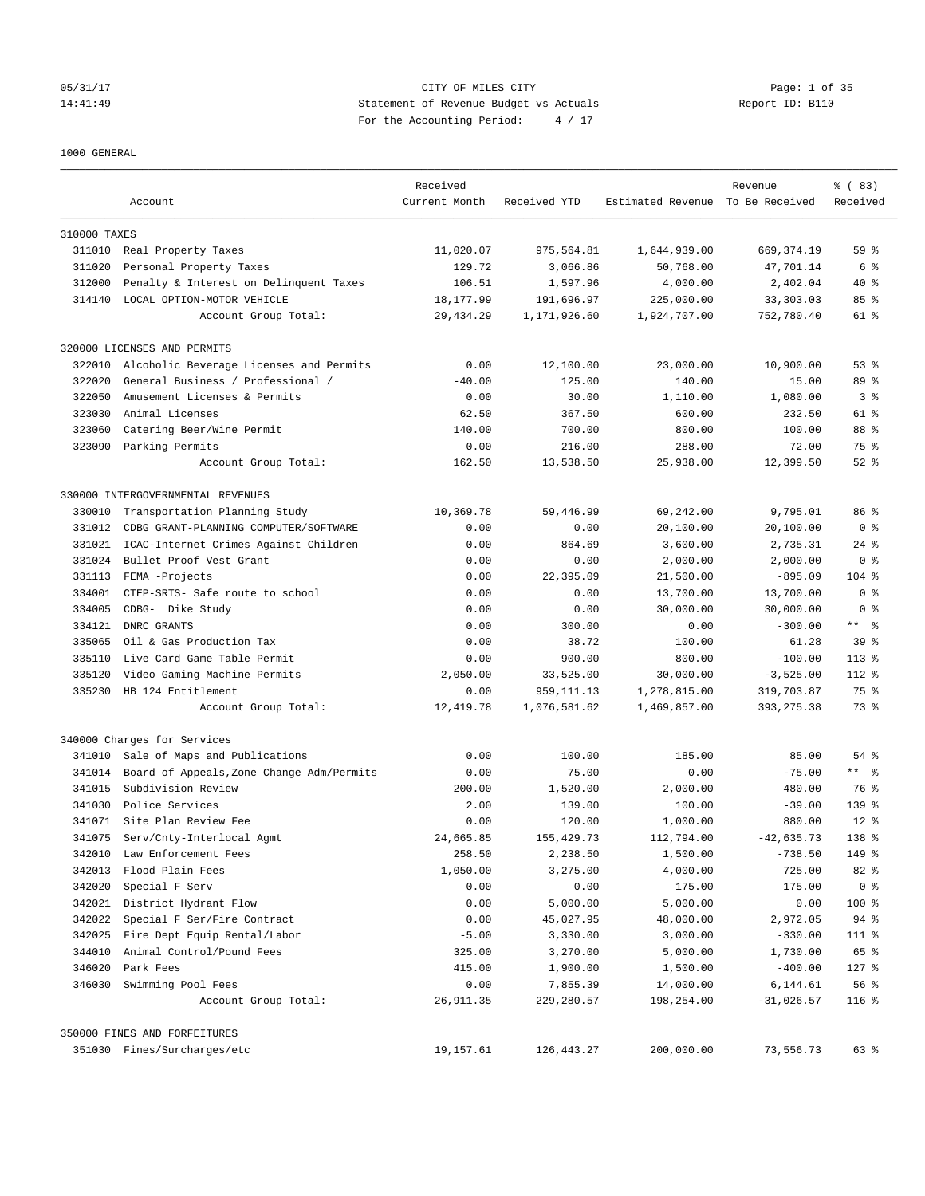## 05/31/17 CITY OF MILES CITY Page: 1 of 35 14:41:49 Statement of Revenue Budget vs Actuals Report ID: B110 For the Accounting Period: 4 / 17

1000 GENERAL

|              | Account                                   | Received<br>Current Month | Received YTD | Estimated Revenue To Be Received | Revenue      | % (83)<br>Received |
|--------------|-------------------------------------------|---------------------------|--------------|----------------------------------|--------------|--------------------|
| 310000 TAXES |                                           |                           |              |                                  |              |                    |
| 311010       | Real Property Taxes                       | 11,020.07                 | 975,564.81   | 1,644,939.00                     | 669, 374.19  | 59 <sup>°</sup>    |
| 311020       | Personal Property Taxes                   | 129.72                    | 3,066.86     | 50,768.00                        | 47,701.14    | 6 %                |
| 312000       | Penalty & Interest on Delinquent Taxes    | 106.51                    | 1,597.96     | 4,000.00                         | 2,402.04     | $40*$              |
| 314140       | LOCAL OPTION-MOTOR VEHICLE                | 18,177.99                 | 191,696.97   | 225,000.00                       | 33, 303.03   | 85%                |
|              | Account Group Total:                      | 29, 434.29                | 1,171,926.60 | 1,924,707.00                     | 752,780.40   | 61 %               |
|              | 320000 LICENSES AND PERMITS               |                           |              |                                  |              |                    |
| 322010       | Alcoholic Beverage Licenses and Permits   | 0.00                      | 12,100.00    | 23,000.00                        | 10,900.00    | 53%                |
| 322020       | General Business / Professional /         | $-40.00$                  | 125.00       | 140.00                           | 15.00        | 89 %               |
| 322050       | Amusement Licenses & Permits              | 0.00                      | 30.00        | 1,110.00                         | 1,080.00     | 3 <sup>8</sup>     |
| 323030       | Animal Licenses                           | 62.50                     | 367.50       | 600.00                           | 232.50       | 61 %               |
| 323060       | Catering Beer/Wine Permit                 | 140.00                    | 700.00       | 800.00                           | 100.00       | 88 %               |
| 323090       | Parking Permits                           | 0.00                      | 216.00       | 288.00                           | 72.00        | 75 %               |
|              | Account Group Total:                      | 162.50                    | 13,538.50    | 25,938.00                        | 12,399.50    | $52$ $%$           |
|              | 330000 INTERGOVERNMENTAL REVENUES         |                           |              |                                  |              |                    |
| 330010       | Transportation Planning Study             | 10,369.78                 | 59,446.99    | 69,242.00                        | 9,795.01     | 86 %               |
| 331012       | CDBG GRANT-PLANNING COMPUTER/SOFTWARE     | 0.00                      | 0.00         | 20,100.00                        | 20,100.00    | 0 <sup>8</sup>     |
| 331021       | ICAC-Internet Crimes Against Children     | 0.00                      | 864.69       | 3,600.00                         | 2,735.31     | $24$ %             |
| 331024       | Bullet Proof Vest Grant                   | 0.00                      | 0.00         | 2,000.00                         | 2,000.00     | 0 <sup>8</sup>     |
| 331113       | FEMA -Projects                            | 0.00                      | 22,395.09    | 21,500.00                        | $-895.09$    | $104$ %            |
| 334001       | CTEP-SRTS- Safe route to school           | 0.00                      | 0.00         | 13,700.00                        | 13,700.00    | 0 <sup>8</sup>     |
| 334005       | CDBG- Dike Study                          | 0.00                      | 0.00         | 30,000.00                        | 30,000.00    | 0 <sup>8</sup>     |
| 334121       | DNRC GRANTS                               | 0.00                      | 300.00       | 0.00                             | $-300.00$    | $***$ $ -$         |
| 335065       | Oil & Gas Production Tax                  | 0.00                      | 38.72        | 100.00                           | 61.28        | 39 <sup>8</sup>    |
| 335110       | Live Card Game Table Permit               | 0.00                      | 900.00       | 800.00                           | $-100.00$    | $113$ %            |
| 335120       | Video Gaming Machine Permits              | 2,050.00                  | 33,525.00    | 30,000.00                        | $-3,525.00$  | $112$ %            |
| 335230       | HB 124 Entitlement                        | 0.00                      | 959, 111.13  | 1,278,815.00                     | 319,703.87   | 75 %               |
|              | Account Group Total:                      | 12,419.78                 | 1,076,581.62 | 1,469,857.00                     | 393, 275.38  | 73 %               |
|              | 340000 Charges for Services               |                           |              |                                  |              |                    |
| 341010       | Sale of Maps and Publications             | 0.00                      | 100.00       | 185.00                           | 85.00        | 54 %               |
| 341014       | Board of Appeals, Zone Change Adm/Permits | 0.00                      | 75.00        | 0.00                             | $-75.00$     | ** %               |
| 341015       | Subdivision Review                        | 200.00                    | 1,520.00     | 2,000.00                         | 480.00       | 76 %               |
| 341030       | Police Services                           | 2.00                      | 139.00       | 100.00                           | $-39.00$     | 139 <sub>8</sub>   |
| 341071       | Site Plan Review Fee                      | 0.00                      | 120.00       | 1,000.00                         | 880.00       | $12*$              |
| 341075       | Serv/Cnty-Interlocal Agmt                 | 24,665.85                 | 155, 429. 73 | 112,794.00                       | $-42,635.73$ | 138 %              |
| 342010       | Law Enforcement Fees                      | 258.50                    | 2,238.50     | 1,500.00                         | $-738.50$    | 149 %              |
| 342013       | Flood Plain Fees                          | 1,050.00                  | 3,275.00     | 4,000.00                         | 725.00       | $82$ $%$           |
| 342020       | Special F Serv                            | 0.00                      | 0.00         | 175.00                           | 175.00       | 0 <sup>8</sup>     |
| 342021       | District Hydrant Flow                     | 0.00                      | 5,000.00     | 5,000.00                         | 0.00         | 100 %              |
| 342022       | Special F Ser/Fire Contract               | 0.00                      | 45,027.95    | 48,000.00                        | 2,972.05     | 94 %               |
| 342025       | Fire Dept Equip Rental/Labor              | $-5.00$                   | 3,330.00     | 3,000.00                         | $-330.00$    | 111 %              |
| 344010       | Animal Control/Pound Fees                 | 325.00                    | 3,270.00     | 5,000.00                         | 1,730.00     | 65 %               |
| 346020       | Park Fees                                 | 415.00                    | 1,900.00     | 1,500.00                         | $-400.00$    | $127$ %            |
| 346030       | Swimming Pool Fees                        | 0.00                      | 7,855.39     | 14,000.00                        | 6,144.61     | 56%                |
|              | Account Group Total:                      | 26,911.35                 | 229,280.57   | 198,254.00                       | $-31,026.57$ | $116$ %            |
|              | 350000 FINES AND FORFEITURES              |                           |              |                                  |              |                    |
|              | 351030 Fines/Surcharges/etc               | 19,157.61                 | 126,443.27   | 200,000.00                       | 73,556.73    | 63 %               |
|              |                                           |                           |              |                                  |              |                    |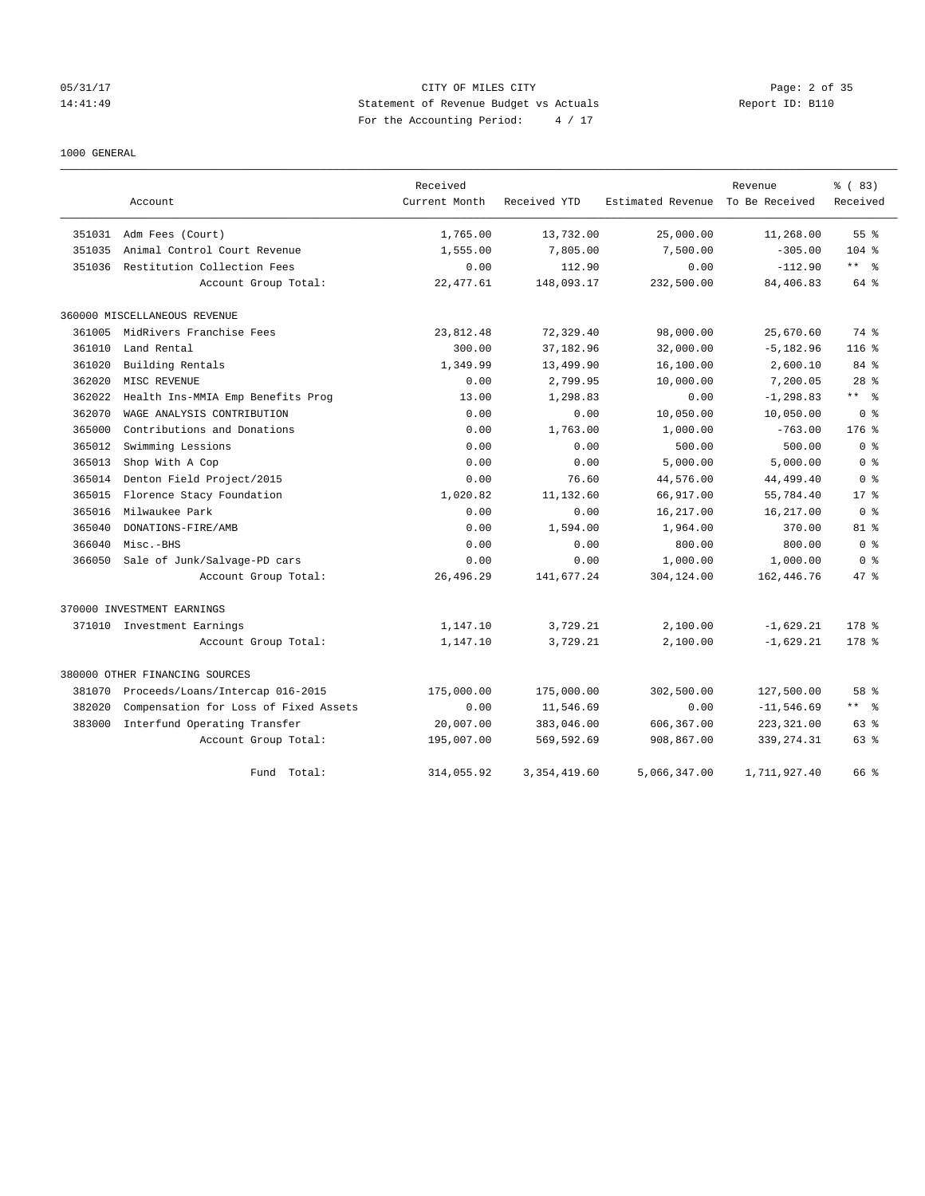## 05/31/17 CITY OF MILES CITY Page: 2 of 35 14:41:49 Statement of Revenue Budget vs Actuals Report ID: B110 For the Accounting Period: 4 / 17

## 1000 GENERAL

|        |                                       | Received      |                |                   | Revenue        | % (83)                  |
|--------|---------------------------------------|---------------|----------------|-------------------|----------------|-------------------------|
|        | Account                               | Current Month | Received YTD   | Estimated Revenue | To Be Received | Received                |
| 351031 | Adm Fees (Court)                      | 1,765.00      | 13,732.00      | 25,000.00         | 11,268.00      | 55 <sup>8</sup>         |
| 351035 | Animal Control Court Revenue          | 1,555.00      | 7,805.00       | 7,500.00          | $-305.00$      | $104$ %                 |
| 351036 | Restitution Collection Fees           | 0.00          | 112.90         | 0.00              | $-112.90$      | $***$ $=$ $\frac{6}{5}$ |
|        | Account Group Total:                  | 22, 477.61    | 148,093.17     | 232,500.00        | 84,406.83      | 64 %                    |
|        | 360000 MISCELLANEOUS REVENUE          |               |                |                   |                |                         |
| 361005 | MidRivers Franchise Fees              | 23,812.48     | 72,329.40      | 98,000.00         | 25,670.60      | 74 %                    |
| 361010 | Land Rental                           | 300.00        | 37,182.96      | 32,000.00         | $-5, 182.96$   | $116$ %                 |
| 361020 | Building Rentals                      | 1,349.99      | 13,499.90      | 16,100.00         | 2,600.10       | 84 %                    |
| 362020 | MISC REVENUE                          | 0.00          | 2,799.95       | 10,000.00         | 7,200.05       | $28$ %                  |
| 362022 | Health Ins-MMIA Emp Benefits Prog     | 13.00         | 1,298.83       | 0.00              | $-1, 298.83$   | $***$ $%$               |
| 362070 | WAGE ANALYSIS CONTRIBUTION            | 0.00          | 0.00           | 10,050.00         | 10,050.00      | 0 <sup>8</sup>          |
| 365000 | Contributions and Donations           | 0.00          | 1,763.00       | 1,000.00          | $-763.00$      | $176$ $%$               |
| 365012 | Swimming Lessions                     | 0.00          | 0.00           | 500.00            | 500.00         | 0 <sup>8</sup>          |
| 365013 | Shop With A Cop                       | 0.00          | 0.00           | 5,000.00          | 5,000.00       | 0 <sup>8</sup>          |
| 365014 | Denton Field Project/2015             | 0.00          | 76.60          | 44,576.00         | 44,499.40      | 0 <sup>8</sup>          |
| 365015 | Florence Stacy Foundation             | 1,020.82      | 11,132.60      | 66,917.00         | 55,784.40      | $17*$                   |
| 365016 | Milwaukee Park                        | 0.00          | 0.00           | 16,217.00         | 16,217.00      | 0 <sup>8</sup>          |
| 365040 | DONATIONS-FIRE/AMB                    | 0.00          | 1,594.00       | 1,964.00          | 370.00         | $81$ %                  |
| 366040 | Misc.-BHS                             | 0.00          | 0.00           | 800.00            | 800.00         | 0 <sup>8</sup>          |
| 366050 | Sale of Junk/Salvage-PD cars          | 0.00          | 0.00           | 1,000.00          | 1,000.00       | 0 <sup>8</sup>          |
|        | Account Group Total:                  | 26,496.29     | 141,677.24     | 304,124.00        | 162, 446.76    | 47 %                    |
|        | 370000 INVESTMENT EARNINGS            |               |                |                   |                |                         |
|        | 371010 Investment Earnings            | 1,147.10      | 3,729.21       | 2,100.00          | $-1,629.21$    | 178 %                   |
|        | Account Group Total:                  | 1,147.10      | 3,729.21       | 2,100.00          | $-1,629.21$    | $178$ %                 |
|        | 380000 OTHER FINANCING SOURCES        |               |                |                   |                |                         |
| 381070 | Proceeds/Loans/Intercap 016-2015      | 175,000.00    | 175,000.00     | 302,500.00        | 127,500.00     | 58 %                    |
| 382020 | Compensation for Loss of Fixed Assets | 0.00          | 11,546.69      | 0.00              | $-11, 546.69$  | $***$ $=$ $\frac{6}{5}$ |
| 383000 | Interfund Operating Transfer          | 20,007.00     | 383,046.00     | 606,367.00        | 223, 321.00    | 63 %                    |
|        | Account Group Total:                  | 195,007.00    | 569,592.69     | 908,867.00        | 339, 274.31    | 63 %                    |
|        | Fund Total:                           | 314,055.92    | 3, 354, 419.60 | 5,066,347.00      | 1,711,927.40   | 66 %                    |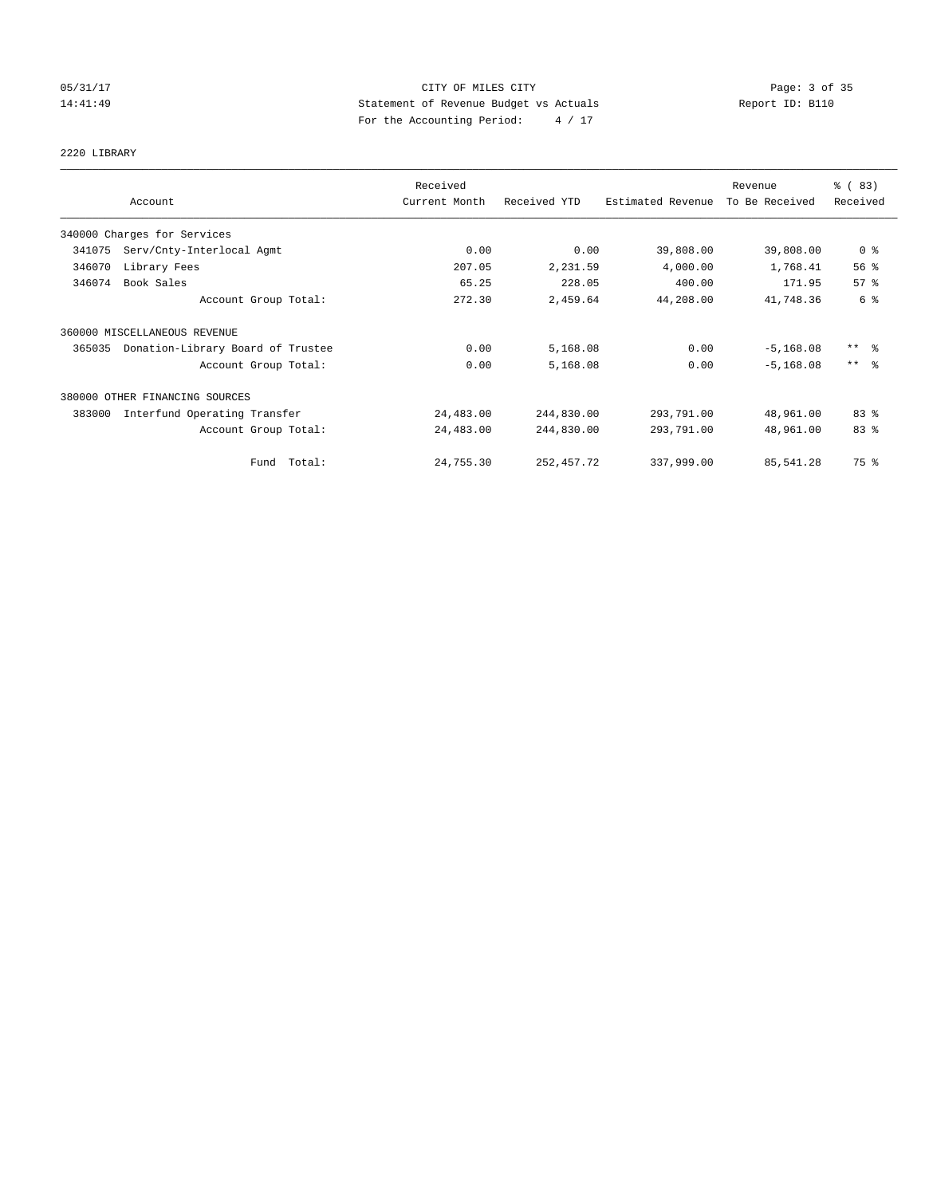# 05/31/17 Page: 3 of 35 14:41:49 Statement of Revenue Budget vs Actuals Report ID: B110 For the Accounting Period: 4 / 17

# 2220 LIBRARY

|        |                                   | Received      |              |                   | Revenue        | % (83)                  |
|--------|-----------------------------------|---------------|--------------|-------------------|----------------|-------------------------|
|        | Account                           | Current Month | Received YTD | Estimated Revenue | To Be Received | Received                |
|        | 340000 Charges for Services       |               |              |                   |                |                         |
| 341075 | Serv/Cnty-Interlocal Agmt         | 0.00          | 0.00         | 39,808.00         | 39,808.00      | 0 <sup>8</sup>          |
| 346070 | Library Fees                      | 207.05        | 2,231.59     | 4,000.00          | 1,768.41       | 56%                     |
| 346074 | Book Sales                        | 65.25         | 228.05       | 400.00            | 171.95         | 57 <sup>8</sup>         |
|        | Account Group Total:              | 272.30        | 2,459.64     | 44,208.00         | 41,748.36      | 6 %                     |
|        | 360000 MISCELLANEOUS REVENUE      |               |              |                   |                |                         |
| 365035 | Donation-Library Board of Trustee | 0.00          | 5,168.08     | 0.00              | $-5, 168.08$   | $***$ $=$ $\frac{6}{5}$ |
|        | Account Group Total:              | 0.00          | 5,168.08     | 0.00              | $-5, 168.08$   | $***$ $\approx$         |
|        | 380000 OTHER FINANCING SOURCES    |               |              |                   |                |                         |
| 383000 | Interfund Operating Transfer      | 24,483.00     | 244,830.00   | 293,791.00        | 48,961.00      | 83%                     |
|        | Account Group Total:              | 24,483.00     | 244,830.00   | 293,791.00        | 48,961.00      | 83 %                    |
|        | Fund Total:                       | 24,755.30     | 252, 457.72  | 337,999.00        | 85,541.28      | 75 %                    |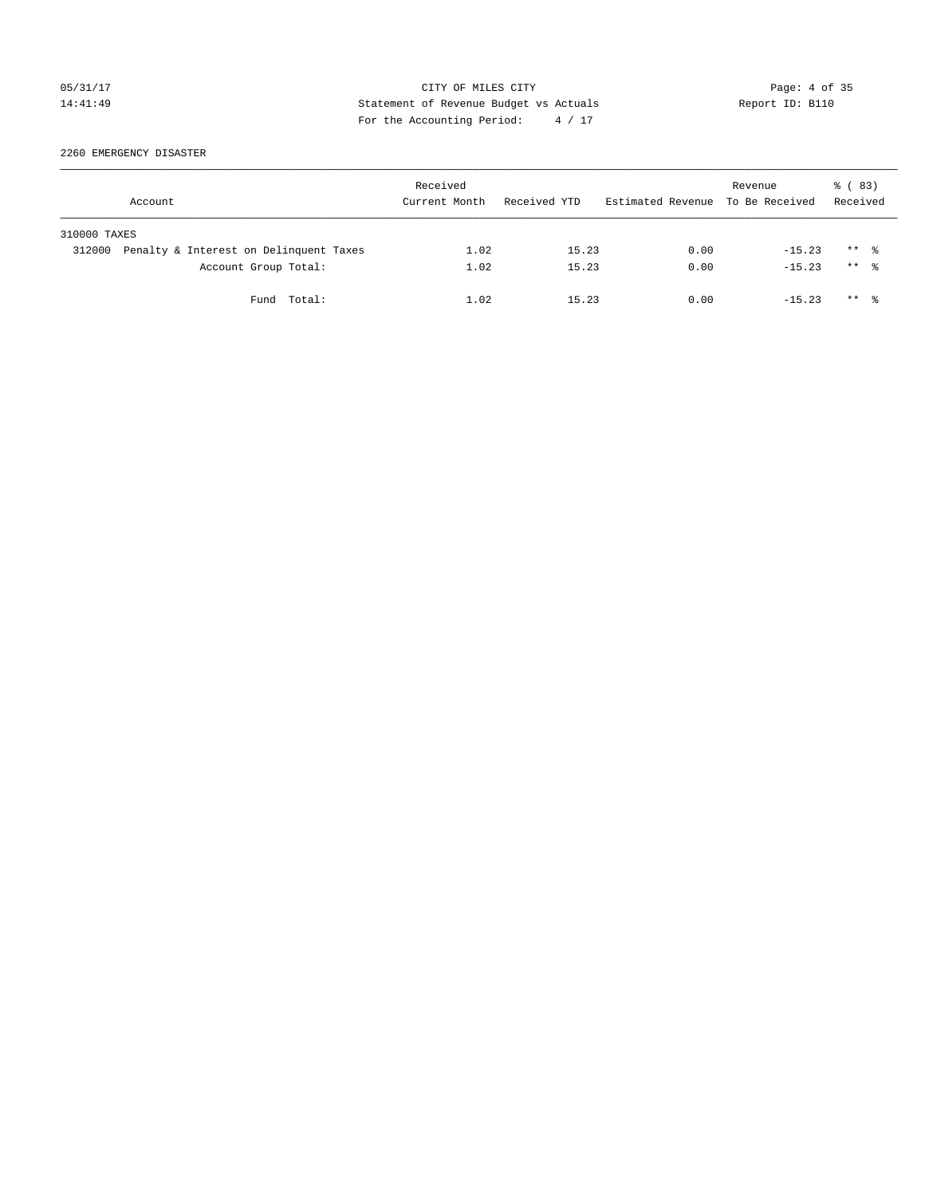## 05/31/17 CITY OF MILES CITY Page: 4 of 35 14:41:49 Statement of Revenue Budget vs Actuals Report ID: B110 For the Accounting Period: 4 / 17

2260 EMERGENCY DISASTER

|              | Account                                | Received<br>Current Month | Received YTD | Estimated Revenue To Be Received | Revenue  | 8 (83)<br>Received   |
|--------------|----------------------------------------|---------------------------|--------------|----------------------------------|----------|----------------------|
| 310000 TAXES |                                        |                           |              |                                  |          |                      |
| 312000       | Penalty & Interest on Delinquent Taxes | 1.02                      | 15.23        | 0.00                             | $-15.23$ | $***$ %              |
|              | Account Group Total:                   | 1.02                      | 15.23        | 0.00                             | $-15.23$ | $***$ $\frac{6}{10}$ |
|              | Fund Total:                            | 1.02                      | 15.23        | 0.00                             | $-15.23$ | $***$ $\frac{6}{10}$ |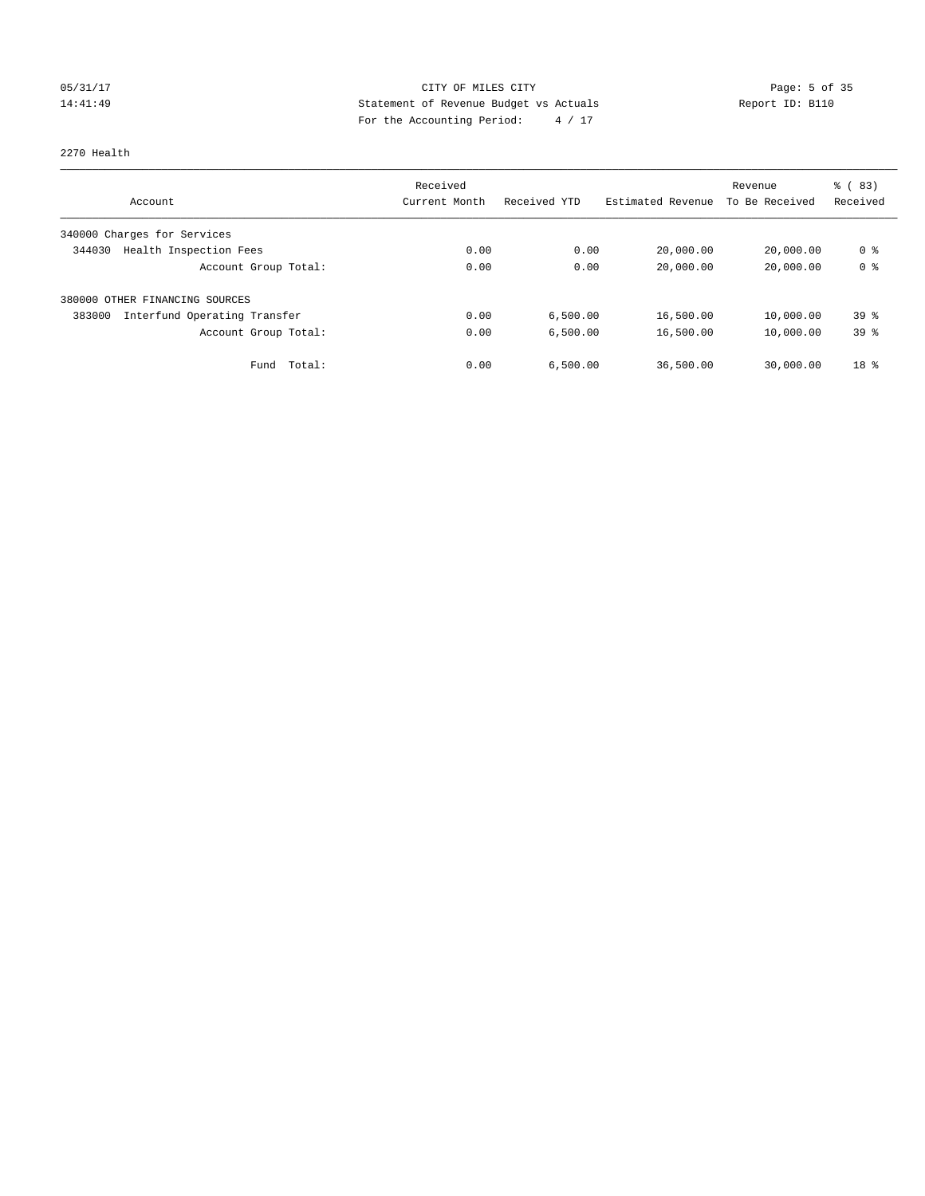# 05/31/17 Page: 5 of 35 14:41:49 Statement of Revenue Budget vs Actuals Report ID: B110 For the Accounting Period: 4 / 17

### 2270 Health

|                                        | Received      |              |                   | Revenue        | % (83)          |
|----------------------------------------|---------------|--------------|-------------------|----------------|-----------------|
| Account                                | Current Month | Received YTD | Estimated Revenue | To Be Received | Received        |
| 340000 Charges for Services            |               |              |                   |                |                 |
| Health Inspection Fees<br>344030       | 0.00          | 0.00         | 20,000.00         | 20,000.00      | 0 %             |
| Account Group Total:                   | 0.00          | 0.00         | 20,000.00         | 20,000.00      | 0 <sup>8</sup>  |
| 380000 OTHER FINANCING SOURCES         |               |              |                   |                |                 |
| Interfund Operating Transfer<br>383000 | 0.00          | 6,500.00     | 16,500.00         | 10,000.00      | $39*$           |
| Account Group Total:                   | 0.00          | 6.500.00     | 16,500.00         | 10,000.00      | 39 <sup>8</sup> |
| Total:<br>Fund                         | 0.00          | 6,500.00     | 36,500.00         | 30,000.00      | $18*$           |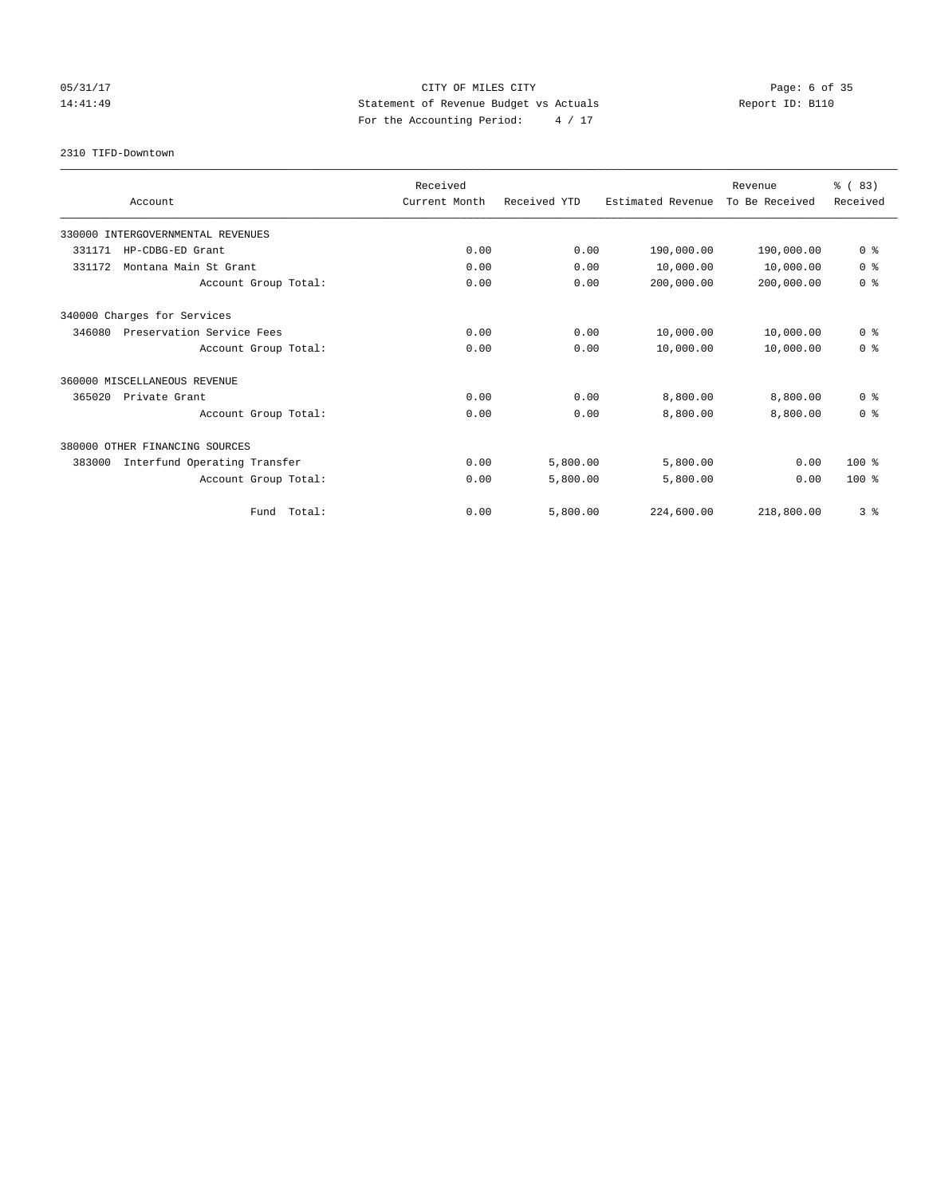# 05/31/17 Page: 6 of 35 14:41:49 Statement of Revenue Budget vs Actuals Report ID: B110 For the Accounting Period: 4 / 17

2310 TIFD-Downtown

|                                        | Received      |              |                   | Revenue        | % (83)         |
|----------------------------------------|---------------|--------------|-------------------|----------------|----------------|
| Account                                | Current Month | Received YTD | Estimated Revenue | To Be Received | Received       |
| 330000 INTERGOVERNMENTAL REVENUES      |               |              |                   |                |                |
| 331171<br>HP-CDBG-ED Grant             | 0.00          | 0.00         | 190,000.00        | 190,000.00     | 0 <sup>8</sup> |
| Montana Main St Grant<br>331172        | 0.00          | 0.00         | 10,000.00         | 10,000.00      | 0 <sup>8</sup> |
| Account Group Total:                   | 0.00          | 0.00         | 200,000.00        | 200,000.00     | 0 <sup>8</sup> |
| 340000 Charges for Services            |               |              |                   |                |                |
| 346080<br>Preservation Service Fees    | 0.00          | 0.00         | 10,000.00         | 10,000.00      | 0 <sup>8</sup> |
| Account Group Total:                   | 0.00          | 0.00         | 10,000.00         | 10,000.00      | 0 <sup>8</sup> |
| 360000 MISCELLANEOUS REVENUE           |               |              |                   |                |                |
| 365020<br>Private Grant                | 0.00          | 0.00         | 8,800.00          | 8,800.00       | 0 <sup>8</sup> |
| Account Group Total:                   | 0.00          | 0.00         | 8,800.00          | 8,800.00       | 0 <sup>8</sup> |
| 380000 OTHER FINANCING SOURCES         |               |              |                   |                |                |
| 383000<br>Interfund Operating Transfer | 0.00          | 5,800.00     | 5,800.00          | 0.00           | $100*$         |
| Account Group Total:                   | 0.00          | 5,800.00     | 5,800.00          | 0.00           | $100*$         |
| Fund Total:                            | 0.00          | 5,800.00     | 224,600.00        | 218,800.00     | 3%             |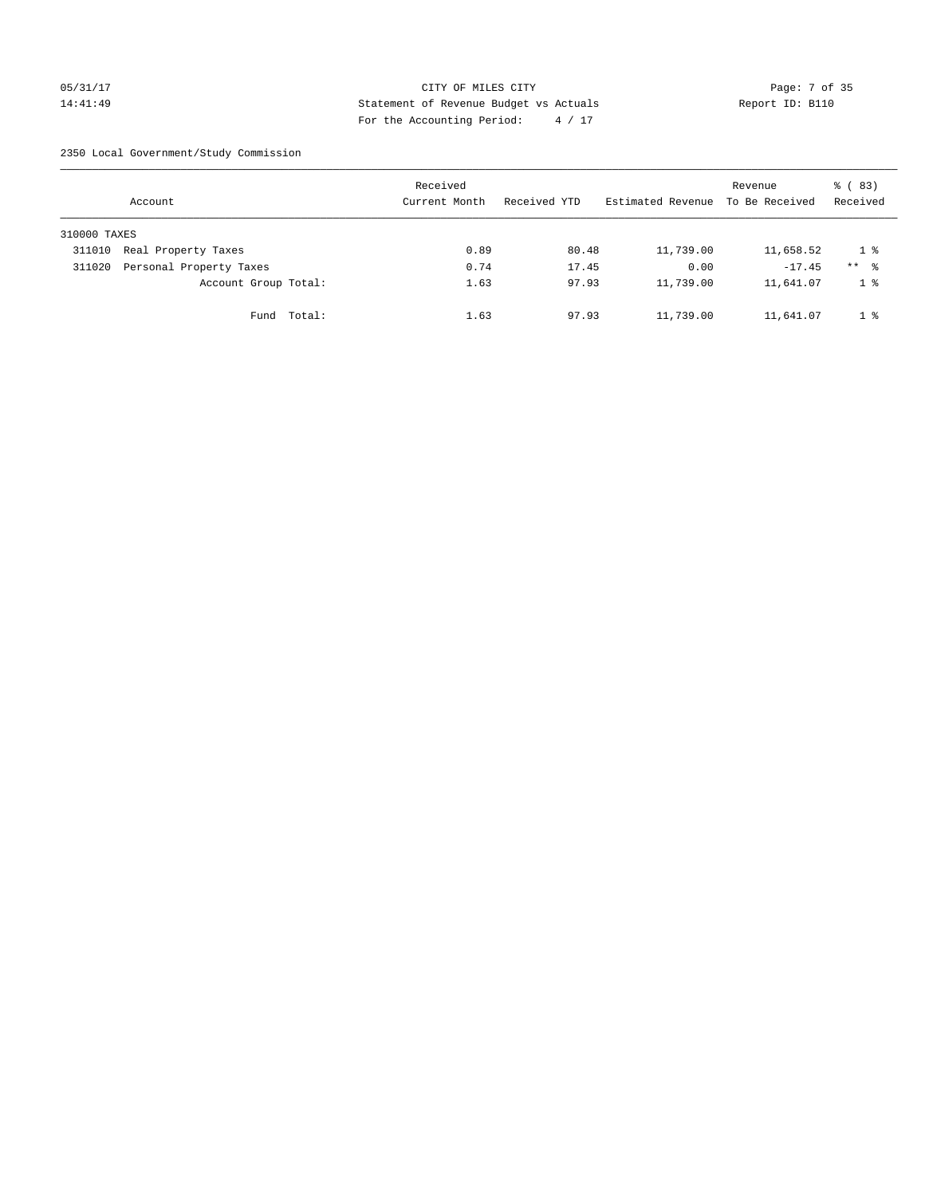## 05/31/17 CITY OF MILES CITY Page: 7 of 35 14:41:49 Statement of Revenue Budget vs Actuals Report ID: B110 For the Accounting Period: 4 / 17

2350 Local Government/Study Commission

|              | Account                 |             | Received<br>Current Month |      | Received YTD |       | Estimated Revenue | Revenue<br>To Be Received | 8 (83)<br>Received |
|--------------|-------------------------|-------------|---------------------------|------|--------------|-------|-------------------|---------------------------|--------------------|
| 310000 TAXES |                         |             |                           |      |              |       |                   |                           |                    |
| 311010       | Real Property Taxes     |             |                           | 0.89 |              | 80.48 | 11,739.00         | 11,658.52                 | 1 %                |
| 311020       | Personal Property Taxes |             |                           | 0.74 |              | 17.45 | 0.00              | $-17.45$                  | $***$ %            |
|              | Account Group Total:    |             |                           | 1.63 |              | 97.93 | 11,739.00         | 11,641.07                 | 1 <sup>°</sup>     |
|              |                         | Fund Total: |                           | 1.63 |              | 97.93 | 11,739.00         | 11,641.07                 | 1 %                |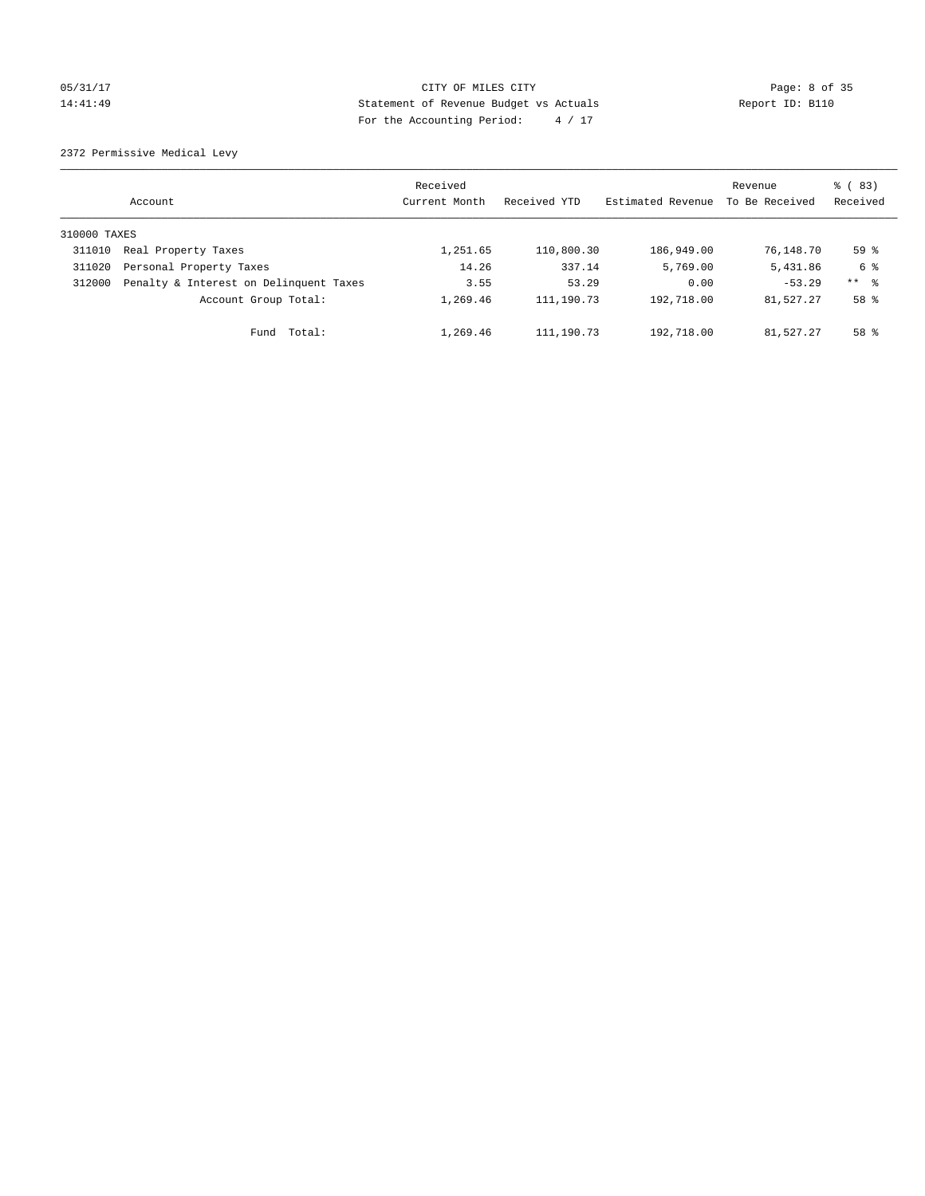# 05/31/17 Page: 8 of 35 14:41:49 Statement of Revenue Budget vs Actuals Report ID: B110 For the Accounting Period: 4 / 17

2372 Permissive Medical Levy

|              | Account                                | Received<br>Current Month | Received YTD | Estimated Revenue | Revenue<br>To Be Received | $\frac{6}{6}$ (83)<br>Received |
|--------------|----------------------------------------|---------------------------|--------------|-------------------|---------------------------|--------------------------------|
| 310000 TAXES |                                        |                           |              |                   |                           |                                |
| 311010       | Real Property Taxes                    | 1,251.65                  | 110,800.30   | 186,949.00        | 76,148.70                 | 59 <sup>°</sup>                |
| 311020       | Personal Property Taxes                | 14.26                     | 337.14       | 5,769.00          | 5,431.86                  | 6 %                            |
| 312000       | Penalty & Interest on Delinquent Taxes | 3.55                      | 53.29        | 0.00              | $-53.29$                  | ** 8                           |
|              | Account Group Total:                   | 1,269.46                  | 111,190.73   | 192,718.00        | 81,527.27                 | 58 %                           |
|              | Total:<br>Fund                         | 1,269.46                  | 111,190.73   | 192,718.00        | 81,527.27                 | $58*$                          |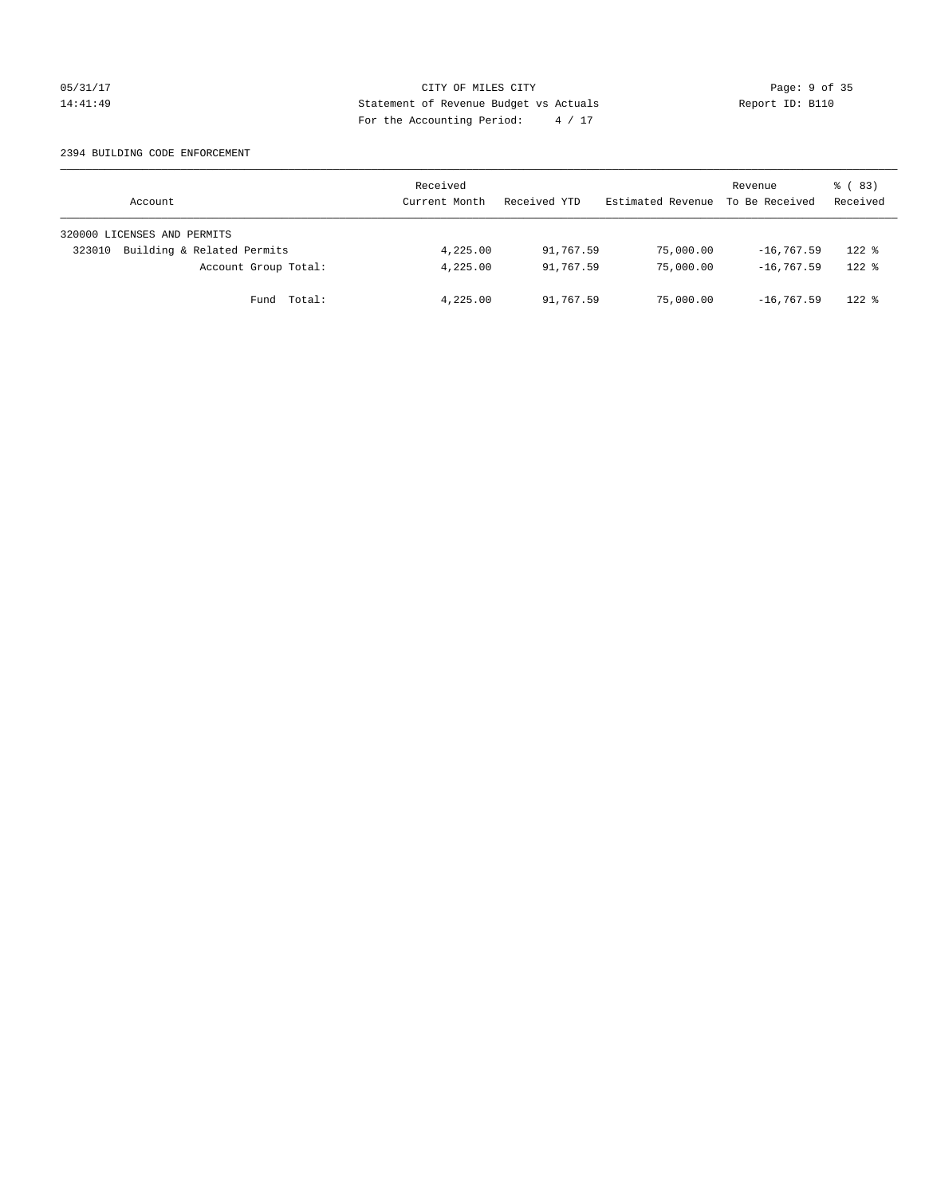## 05/31/17 CITY OF MILES CITY Page: 9 of 35 14:41:49 Statement of Revenue Budget vs Actuals Report ID: B110 For the Accounting Period: 4 / 17

### 2394 BUILDING CODE ENFORCEMENT

| Account                              | Received<br>Current Month | Received YTD | Estimated Revenue | Revenue<br>To Be Received | 8 (83)<br>Received |
|--------------------------------------|---------------------------|--------------|-------------------|---------------------------|--------------------|
| 320000 LICENSES AND PERMITS          |                           |              |                   |                           |                    |
| Building & Related Permits<br>323010 | 4,225.00                  | 91,767.59    | 75,000.00         | $-16, 767.59$             | $122$ %            |
| Account Group Total:                 | 4,225.00                  | 91,767.59    | 75,000.00         | $-16,767.59$              | $122$ $%$          |
| Fund Total:                          | 4,225.00                  | 91,767.59    | 75,000.00         | $-16, 767, 59$            | $122$ $%$          |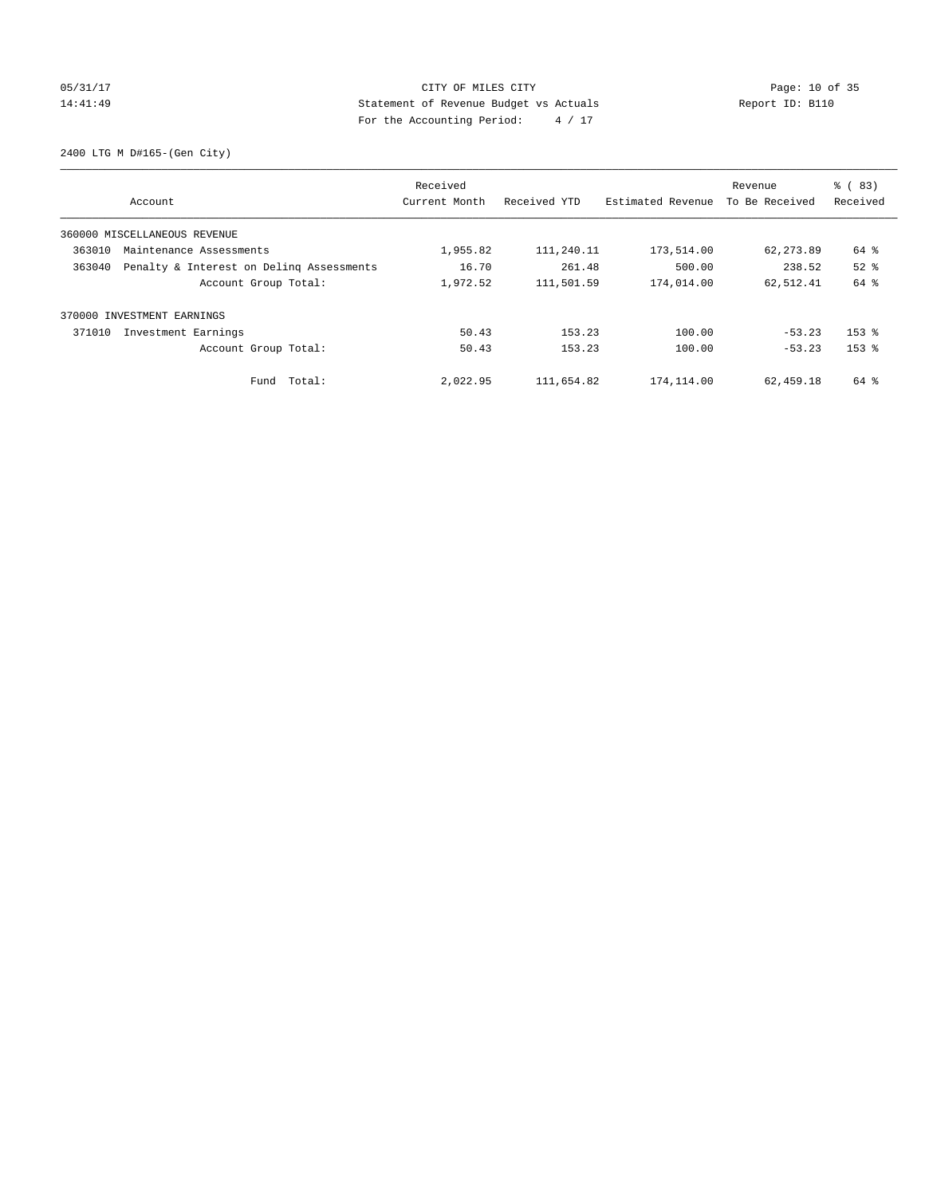# 05/31/17 Page: 10 of 35 14:41:49 Statement of Revenue Budget vs Actuals Report ID: B110 For the Accounting Period: 4 / 17

2400 LTG M D#165-(Gen City)

| Account                                            | Received<br>Current Month | Received YTD | Estimated Revenue | Revenue<br>To Be Received | % (83)<br>Received |
|----------------------------------------------------|---------------------------|--------------|-------------------|---------------------------|--------------------|
| 360000 MISCELLANEOUS REVENUE                       |                           |              |                   |                           |                    |
| 363010<br>Maintenance Assessments                  | 1,955.82                  | 111,240.11   | 173,514.00        | 62,273.89                 | 64 %               |
| Penalty & Interest on Deling Assessments<br>363040 | 16.70                     | 261.48       | 500.00            | 238.52                    | $52$ $%$           |
| Account Group Total:                               | 1,972.52                  | 111,501.59   | 174,014.00        | 62,512.41                 | 64 %               |
| 370000 INVESTMENT EARNINGS                         |                           |              |                   |                           |                    |
| 371010<br>Investment Earnings                      | 50.43                     | 153.23       | 100.00            | $-53.23$                  | $153$ $%$          |
| Account Group Total:                               | 50.43                     | 153.23       | 100.00            | $-53.23$                  | $153$ $%$          |
| Fund Total:                                        | 2,022.95                  | 111,654.82   | 174,114.00        | 62,459.18                 | 64 %               |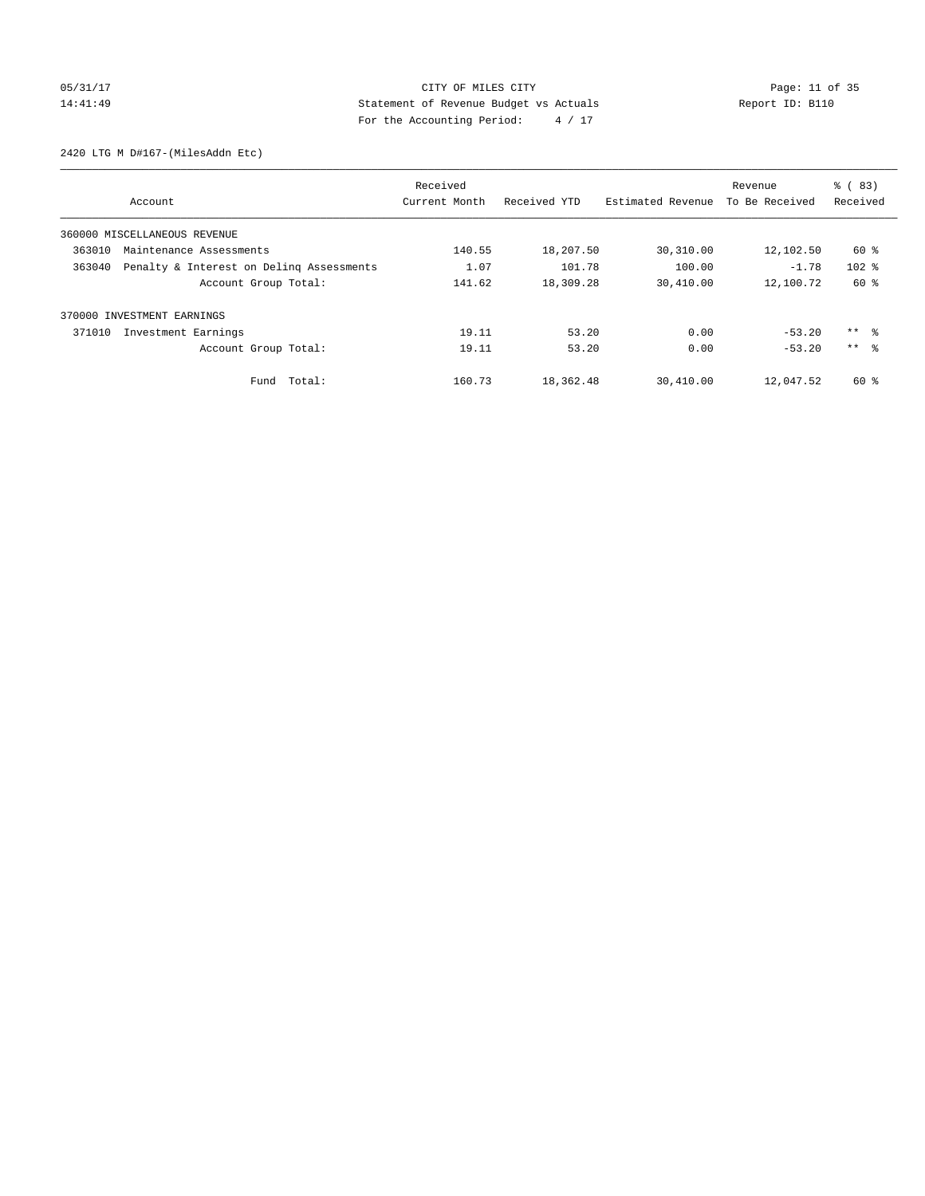# 05/31/17 Page: 11 of 35 14:41:49 Statement of Revenue Budget vs Actuals Report ID: B110 For the Accounting Period: 4 / 17

2420 LTG M D#167-(MilesAddn Etc)

|                              |                                          | Received      |              |                   | Revenue        | % (83)              |
|------------------------------|------------------------------------------|---------------|--------------|-------------------|----------------|---------------------|
| Account                      |                                          | Current Month | Received YTD | Estimated Revenue | To Be Received | Received            |
| 360000 MISCELLANEOUS REVENUE |                                          |               |              |                   |                |                     |
| 363010                       | Maintenance Assessments                  | 140.55        | 18,207.50    | 30,310.00         | 12,102.50      | 60 %                |
| 363040                       | Penalty & Interest on Deling Assessments | 1.07          | 101.78       | 100.00            | $-1.78$        | $102$ %             |
|                              | Account Group Total:                     | 141.62        | 18,309.28    | 30,410.00         | 12,100.72      | 60 %                |
| 370000 INVESTMENT EARNINGS   |                                          |               |              |                   |                |                     |
| 371010                       | Investment Earnings                      | 19.11         | 53.20        | 0.00              | $-53.20$       | $***$ $\frac{6}{3}$ |
|                              | Account Group Total:                     | 19.11         | 53.20        | 0.00              | $-53.20$       | $***$ $\approx$     |
|                              | Fund Total:                              | 160.73        | 18,362.48    | 30,410.00         | 12,047.52      | 60 %                |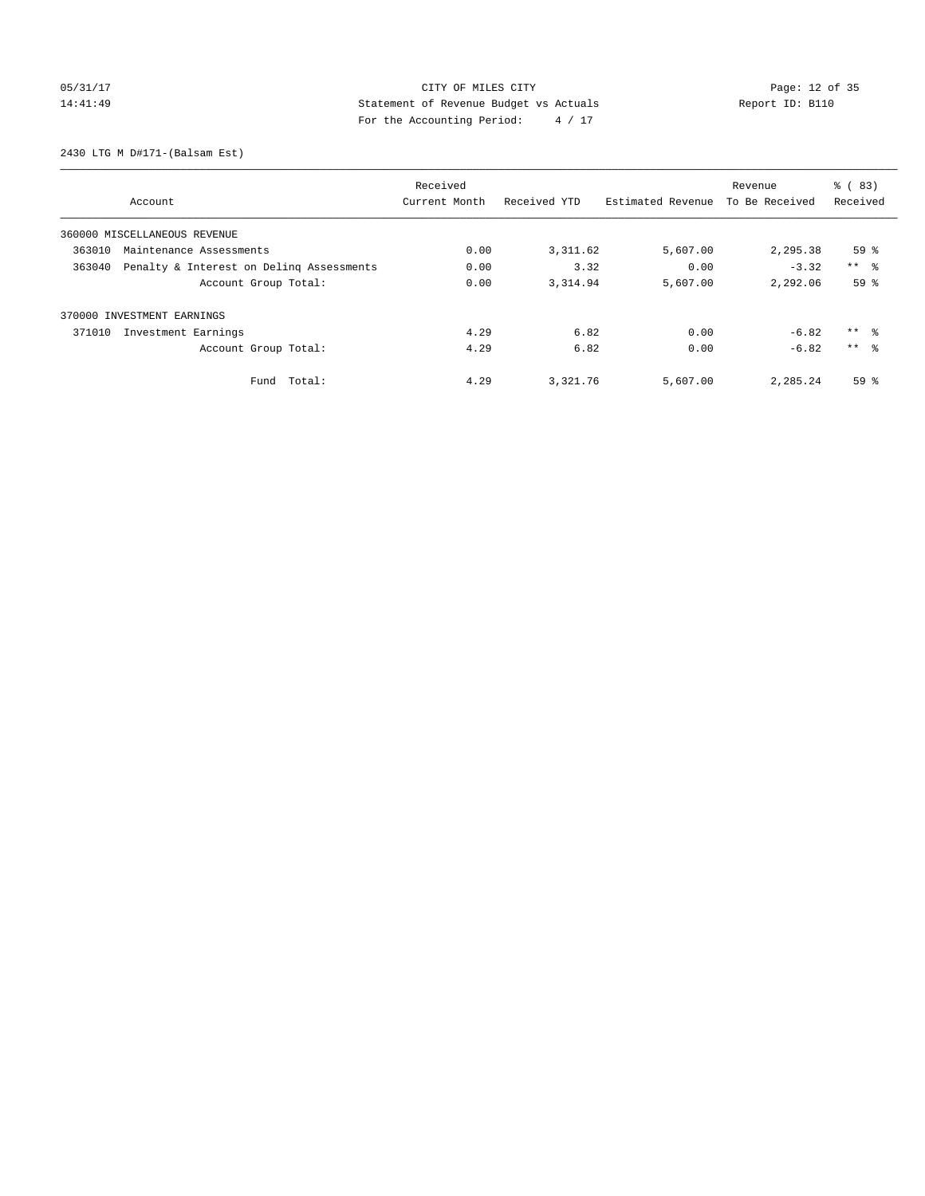# 05/31/17 Page: 12 of 35 14:41:49 Statement of Revenue Budget vs Actuals Report ID: B110 For the Accounting Period: 4 / 17

2430 LTG M D#171-(Balsam Est)

|                                                    | Received      |              |                   | Revenue        | $\frac{6}{6}$ (83) |
|----------------------------------------------------|---------------|--------------|-------------------|----------------|--------------------|
| Account                                            | Current Month | Received YTD | Estimated Revenue | To Be Received | Received           |
| 360000 MISCELLANEOUS REVENUE                       |               |              |                   |                |                    |
| 363010<br>Maintenance Assessments                  | 0.00          | 3, 311.62    | 5,607.00          | 2,295.38       | 59%                |
| 363040<br>Penalty & Interest on Deling Assessments | 0.00          | 3.32         | 0.00              | $-3.32$        | $***$ $ -$         |
| Account Group Total:                               | 0.00          | 3,314.94     | 5,607.00          | 2,292.06       | 59 %               |
| 370000 INVESTMENT EARNINGS                         |               |              |                   |                |                    |
| Investment Earnings<br>371010                      | 4.29          | 6.82         | 0.00              | $-6.82$        | $***$ $ -$         |
| Account Group Total:                               | 4.29          | 6.82         | 0.00              | $-6.82$        | $***$ $\approx$    |
| Total:<br>Fund                                     | 4.29          | 3,321.76     | 5,607.00          | 2,285.24       | 59 <sup>8</sup>    |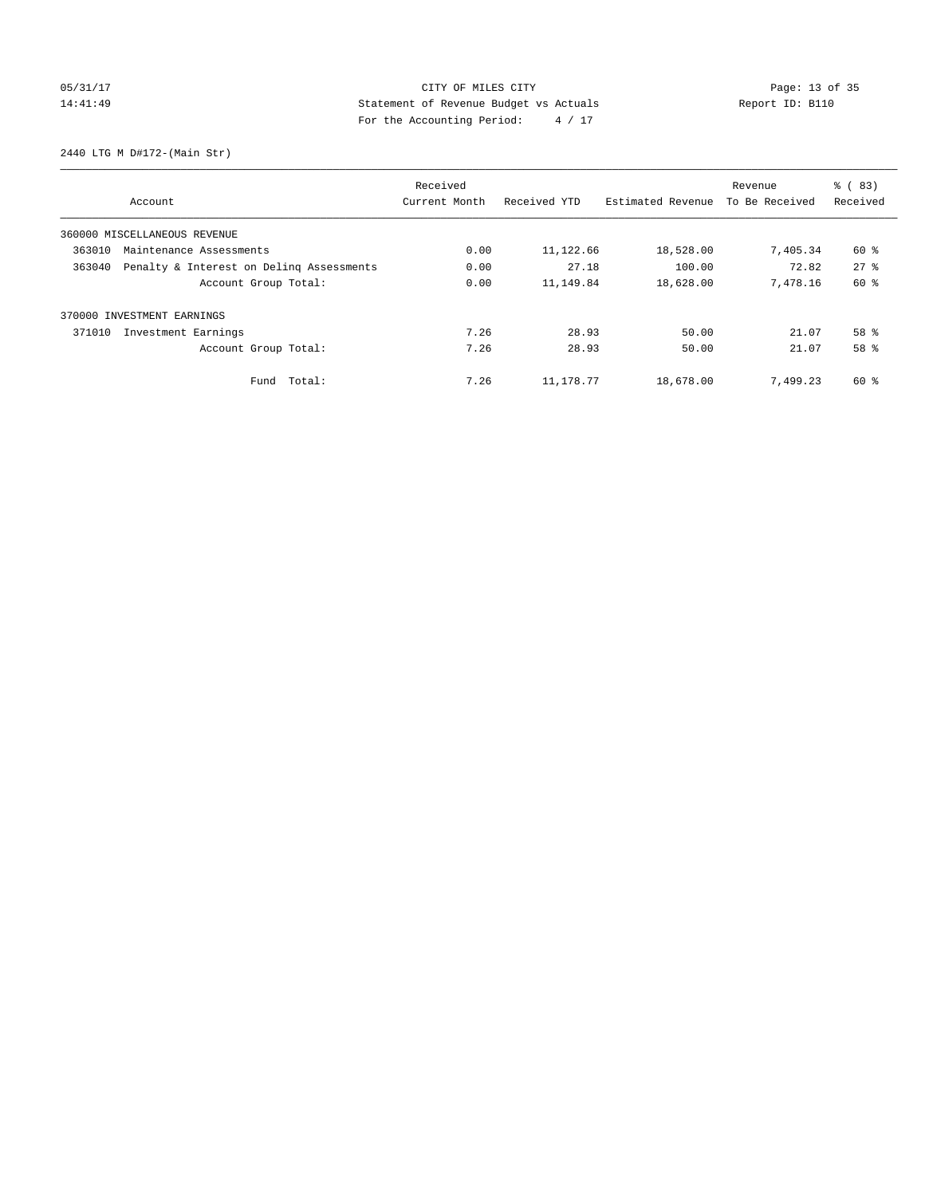# 05/31/17 Page: 13 of 35 14:41:49 Statement of Revenue Budget vs Actuals Report ID: B110 For the Accounting Period: 4 / 17

2440 LTG M D#172-(Main Str)

|                              |                                          | Received      |              | Revenue           |                | % (83)   |
|------------------------------|------------------------------------------|---------------|--------------|-------------------|----------------|----------|
| Account                      |                                          | Current Month | Received YTD | Estimated Revenue | To Be Received | Received |
| 360000 MISCELLANEOUS REVENUE |                                          |               |              |                   |                |          |
| 363010                       | Maintenance Assessments                  | 0.00          | 11,122.66    | 18,528.00         | 7,405.34       | 60 %     |
| 363040                       | Penalty & Interest on Deling Assessments | 0.00          | 27.18        | 100.00            | 72.82          | $27$ $%$ |
|                              | Account Group Total:                     | 0.00          | 11,149.84    | 18,628.00         | 7.478.16       | 60 %     |
| 370000 INVESTMENT EARNINGS   |                                          |               |              |                   |                |          |
| 371010                       | Investment Earnings                      | 7.26          | 28.93        | 50.00             | 21.07          | 58 %     |
|                              | Account Group Total:                     | 7.26          | 28.93        | 50.00             | 21.07          | 58 %     |
|                              | Total:<br>Fund                           | 7.26          | 11,178.77    | 18,678.00         | 7,499.23       | 60 %     |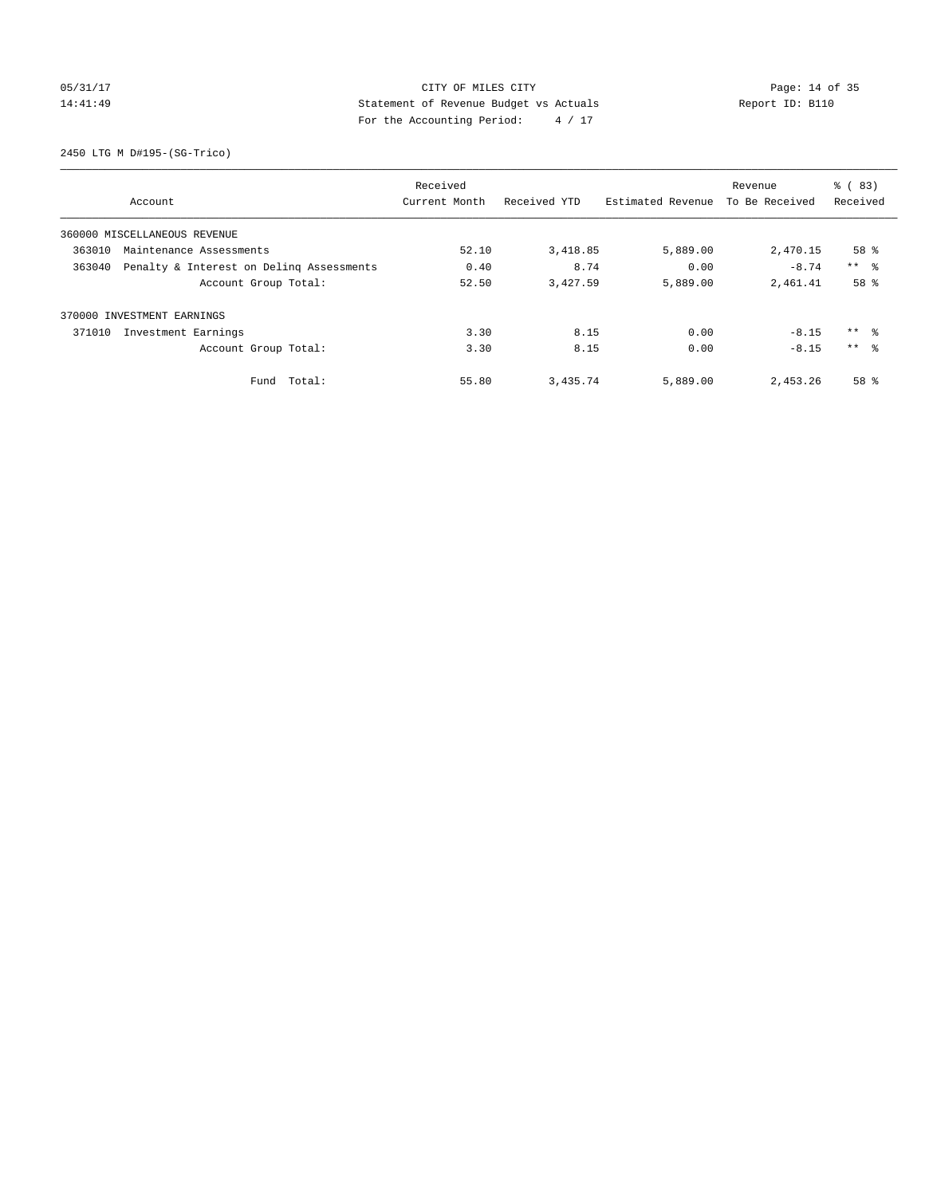# 05/31/17 Page: 14 of 35 14:41:49 Statement of Revenue Budget vs Actuals Report ID: B110 For the Accounting Period: 4 / 17

2450 LTG M D#195-(SG-Trico)

|                              |                                          | Received      |              |                   | Revenue        | % (83)          |
|------------------------------|------------------------------------------|---------------|--------------|-------------------|----------------|-----------------|
| Account                      |                                          | Current Month | Received YTD | Estimated Revenue | To Be Received | Received        |
| 360000 MISCELLANEOUS REVENUE |                                          |               |              |                   |                |                 |
| 363010                       | Maintenance Assessments                  | 52.10         | 3,418.85     | 5,889.00          | 2,470.15       | 58 %            |
| 363040                       | Penalty & Interest on Deling Assessments | 0.40          | 8.74         | 0.00              | $-8.74$        | $***$ $\approx$ |
|                              | Account Group Total:                     | 52.50         | 3,427.59     | 5,889.00          | 2,461.41       | 58 %            |
| 370000 INVESTMENT EARNINGS   |                                          |               |              |                   |                |                 |
| 371010                       | Investment Earnings                      | 3.30          | 8.15         | 0.00              | $-8.15$        | $***$ $ -$      |
|                              | Account Group Total:                     | 3.30          | 8.15         | 0.00              | $-8.15$        | $***$ $\approx$ |
|                              | Fund Total:                              | 55.80         | 3,435.74     | 5,889.00          | 2,453.26       | 58 %            |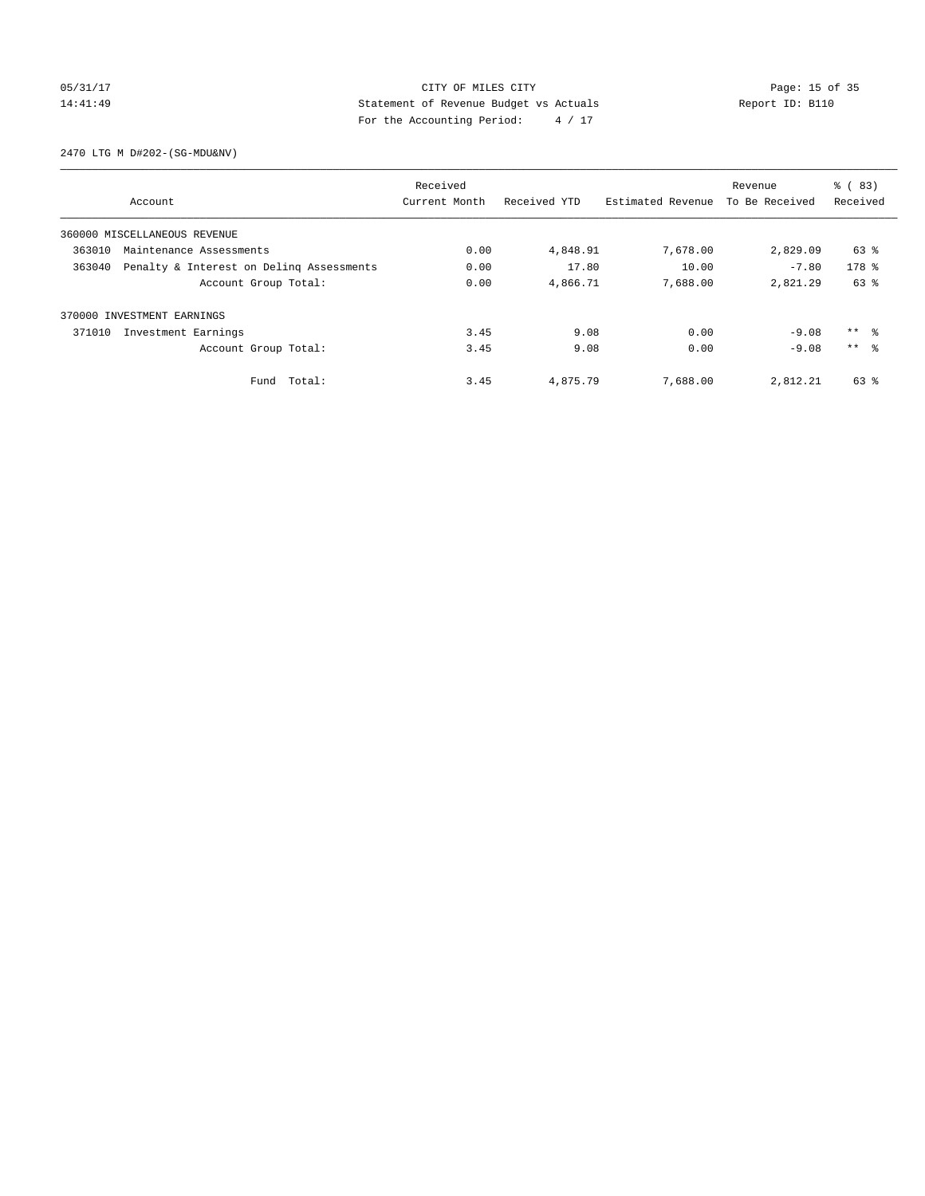# 05/31/17 Page: 15 of 35 14:41:49 Statement of Revenue Budget vs Actuals Report ID: B110 For the Accounting Period: 4 / 17

2470 LTG M D#202-(SG-MDU&NV)

|                              |                                          | Received      |              |                   | Revenue        | % (83)          |
|------------------------------|------------------------------------------|---------------|--------------|-------------------|----------------|-----------------|
| Account                      |                                          | Current Month | Received YTD | Estimated Revenue | To Be Received | Received        |
| 360000 MISCELLANEOUS REVENUE |                                          |               |              |                   |                |                 |
| 363010                       | Maintenance Assessments                  | 0.00          | 4,848.91     | 7,678.00          | 2,829.09       | 63 %            |
| 363040                       | Penalty & Interest on Deling Assessments | 0.00          | 17.80        | 10.00             | $-7.80$        | 178 %           |
|                              | Account Group Total:                     | 0.00          | 4,866.71     | 7,688.00          | 2,821.29       | 63 %            |
| 370000 INVESTMENT EARNINGS   |                                          |               |              |                   |                |                 |
| 371010                       | Investment Earnings                      | 3.45          | 9.08         | 0.00              | $-9.08$        | $***$ $ -$      |
|                              | Account Group Total:                     | 3.45          | 9.08         | 0.00              | $-9.08$        | $***$ $\approx$ |
|                              | Fund Total:                              | 3.45          | 4,875.79     | 7,688.00          | 2,812.21       | 63 %            |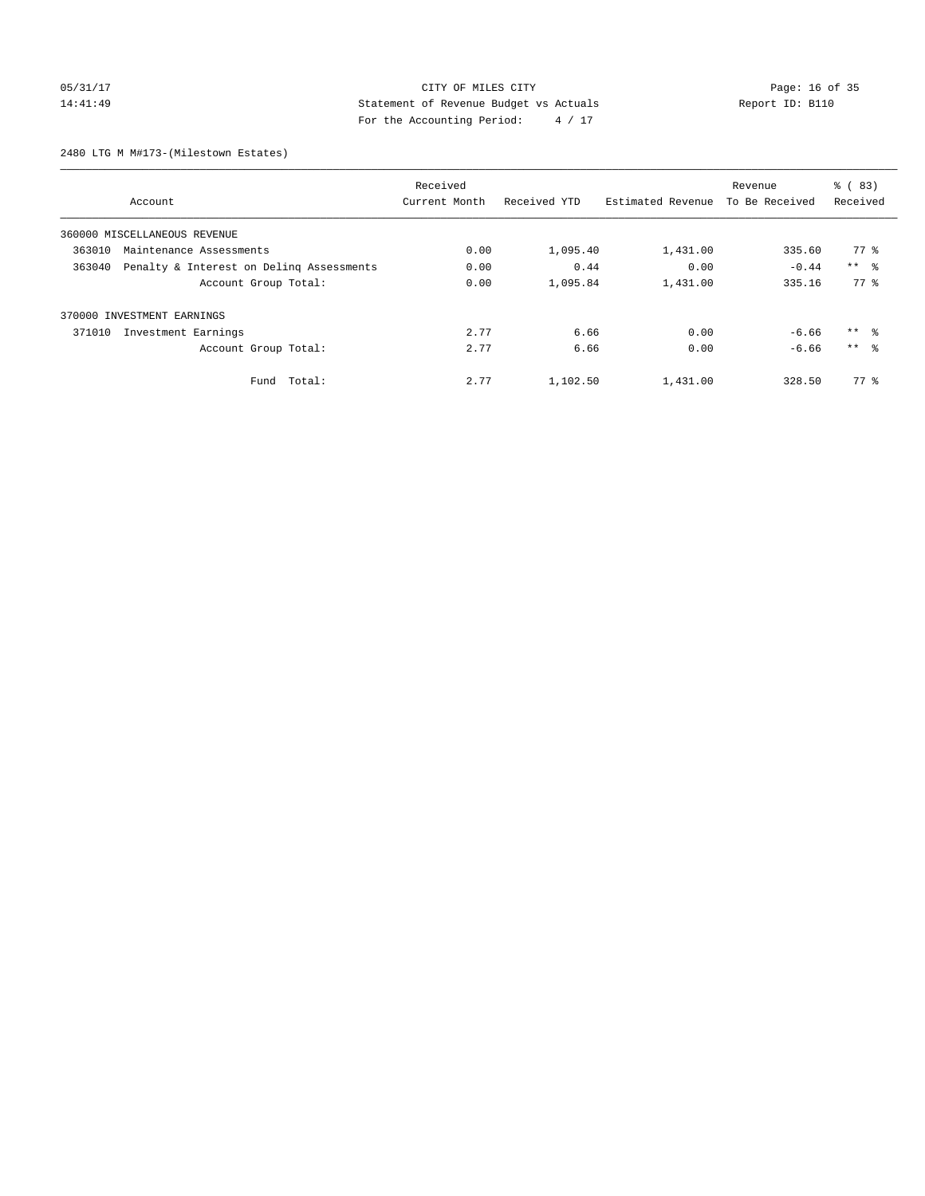# 05/31/17 Page: 16 of 35 14:41:49 Statement of Revenue Budget vs Actuals Report ID: B110 For the Accounting Period: 4 / 17

2480 LTG M M#173-(Milestown Estates)

|                                                    | Received      |              |                   | Revenue        | $\frac{6}{6}$ (83)  |
|----------------------------------------------------|---------------|--------------|-------------------|----------------|---------------------|
| Account                                            | Current Month | Received YTD | Estimated Revenue | To Be Received | Received            |
| 360000 MISCELLANEOUS REVENUE                       |               |              |                   |                |                     |
| 363010<br>Maintenance Assessments                  | 0.00          | 1,095.40     | 1,431.00          | 335.60         | 77 %                |
| 363040<br>Penalty & Interest on Deling Assessments | 0.00          | 0.44         | 0.00              | $-0.44$        | $***$ $ -$          |
| Account Group Total:                               | 0.00          | 1,095.84     | 1,431.00          | 335.16         | 77.8                |
| 370000 INVESTMENT EARNINGS                         |               |              |                   |                |                     |
| 371010<br>Investment Earnings                      | 2.77          | 6.66         | 0.00              | $-6.66$        | $***$ $\frac{6}{3}$ |
| Account Group Total:                               | 2.77          | 6.66         | 0.00              | $-6.66$        | $***$ $\approx$     |
| Total:<br>Fund                                     | 2.77          | 1,102.50     | 1,431.00          | 328.50         | $77*$               |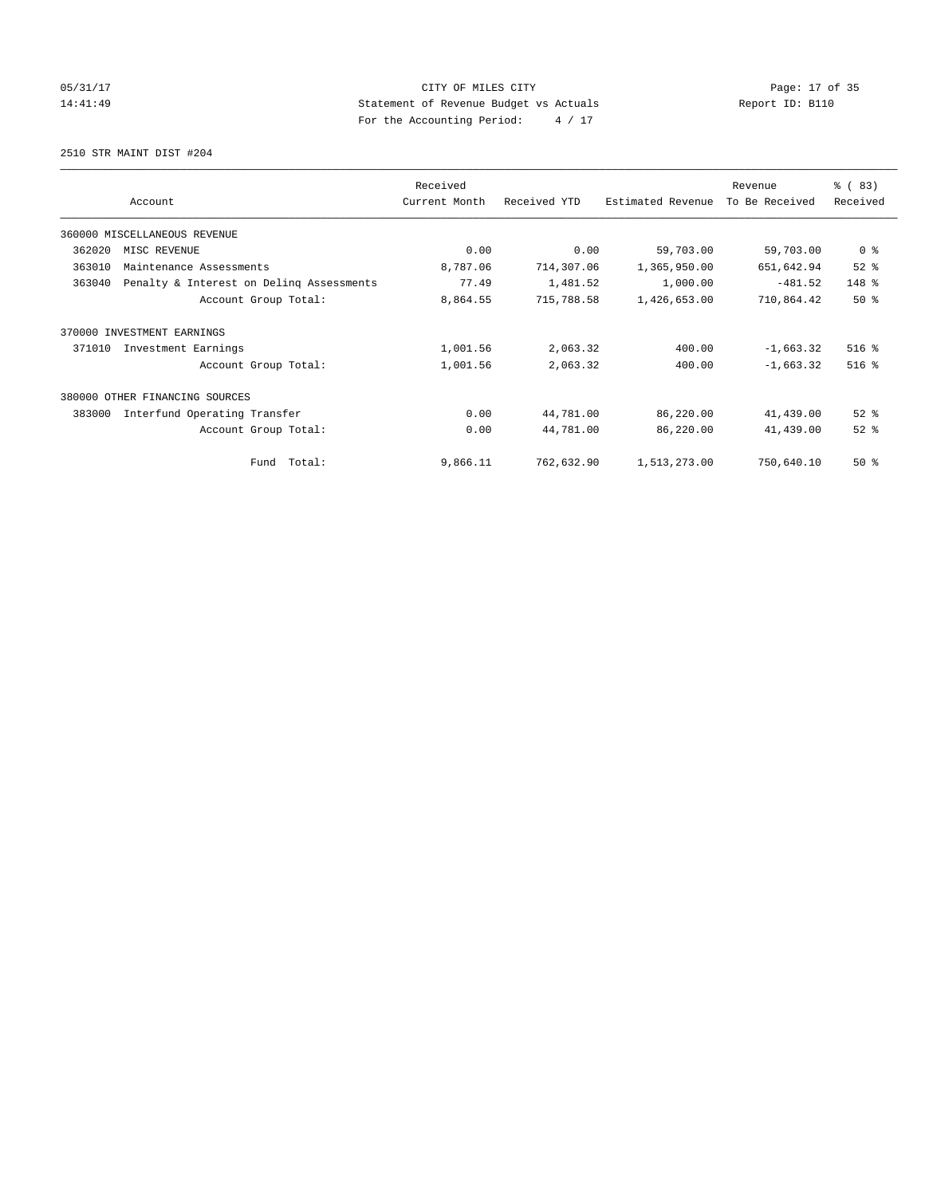# 05/31/17 Page: 17 of 35 14:41:49 Statement of Revenue Budget vs Actuals Report ID: B110 For the Accounting Period: 4 / 17

2510 STR MAINT DIST #204

|        |                                          | Received      |              |                   | Revenue        | % (83)         |
|--------|------------------------------------------|---------------|--------------|-------------------|----------------|----------------|
|        | Account                                  | Current Month | Received YTD | Estimated Revenue | To Be Received | Received       |
|        | 360000 MISCELLANEOUS REVENUE             |               |              |                   |                |                |
| 362020 | MISC REVENUE                             | 0.00          | 0.00         | 59,703.00         | 59,703.00      | 0 <sup>8</sup> |
| 363010 | Maintenance Assessments                  | 8,787.06      | 714,307.06   | 1,365,950.00      | 651,642.94     | $52$ $%$       |
| 363040 | Penalty & Interest on Deling Assessments | 77.49         | 1,481.52     | 1,000.00          | $-481.52$      | 148 %          |
|        | Account Group Total:                     | 8,864.55      | 715,788.58   | 1,426,653.00      | 710,864.42     | 50%            |
| 370000 | INVESTMENT EARNINGS                      |               |              |                   |                |                |
| 371010 | Investment Earnings                      | 1,001.56      | 2,063.32     | 400.00            | $-1,663.32$    | 516 %          |
|        | Account Group Total:                     | 1,001.56      | 2,063.32     | 400.00            | $-1,663.32$    | $516$ %        |
| 380000 | OTHER FINANCING SOURCES                  |               |              |                   |                |                |
| 383000 | Interfund Operating Transfer             | 0.00          | 44,781.00    | 86,220.00         | 41,439.00      | $52*$          |
|        | Account Group Total:                     | 0.00          | 44,781.00    | 86,220.00         | 41,439.00      | $52$ $%$       |
|        | Total:<br>Fund                           | 9,866.11      | 762,632.90   | 1,513,273.00      | 750,640.10     | $50*$          |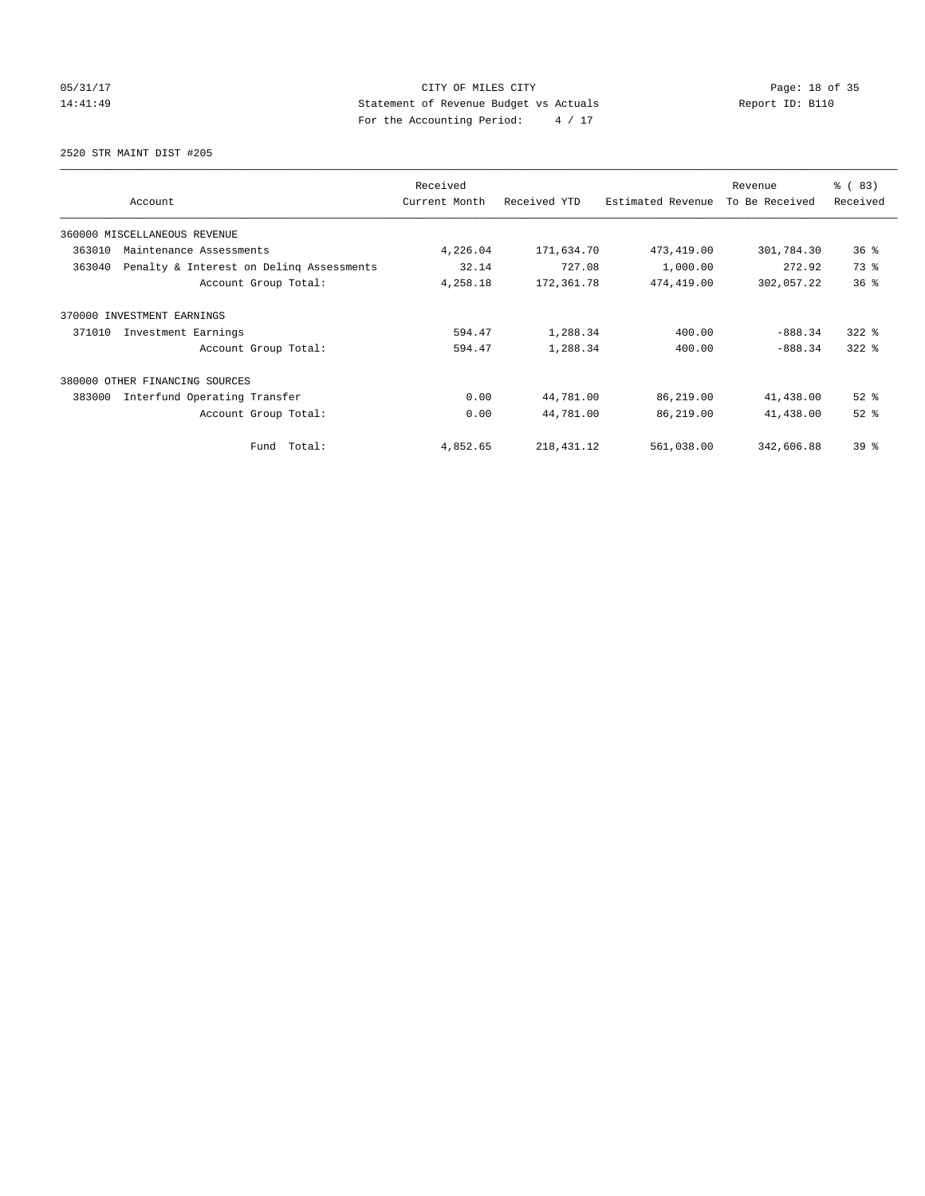# 05/31/17 Page: 18 of 35 14:41:49 Statement of Revenue Budget vs Actuals Report ID: B110 For the Accounting Period: 4 / 17

2520 STR MAINT DIST #205

|                                                    | Received      |              |                   | Revenue        | % (83)    |
|----------------------------------------------------|---------------|--------------|-------------------|----------------|-----------|
| Account                                            | Current Month | Received YTD | Estimated Revenue | To Be Received | Received  |
| 360000 MISCELLANEOUS REVENUE                       |               |              |                   |                |           |
| 363010<br>Maintenance Assessments                  | 4,226.04      | 171,634.70   | 473,419.00        | 301,784.30     | 36%       |
| 363040<br>Penalty & Interest on Deling Assessments | 32.14         | 727.08       | 1,000.00          | 272.92         | 73.8      |
| Account Group Total:                               | 4,258.18      | 172,361.78   | 474,419.00        | 302,057.22     | 36%       |
| 370000 INVESTMENT EARNINGS                         |               |              |                   |                |           |
| 371010<br>Investment Earnings                      | 594.47        | 1,288.34     | 400.00            | $-888.34$      | $322$ $%$ |
| Account Group Total:                               | 594.47        | 1,288.34     | 400.00            | $-888.34$      | $322$ $%$ |
| 380000<br>OTHER FINANCING SOURCES                  |               |              |                   |                |           |
| 383000<br>Interfund Operating Transfer             | 0.00          | 44,781.00    | 86,219.00         | 41,438.00      | $52$ $%$  |
| Account Group Total:                               | 0.00          | 44,781.00    | 86,219.00         | 41,438.00      | $52$ $%$  |
| Fund Total:                                        | 4,852.65      | 218, 431. 12 | 561,038.00        | 342,606.88     | $39*$     |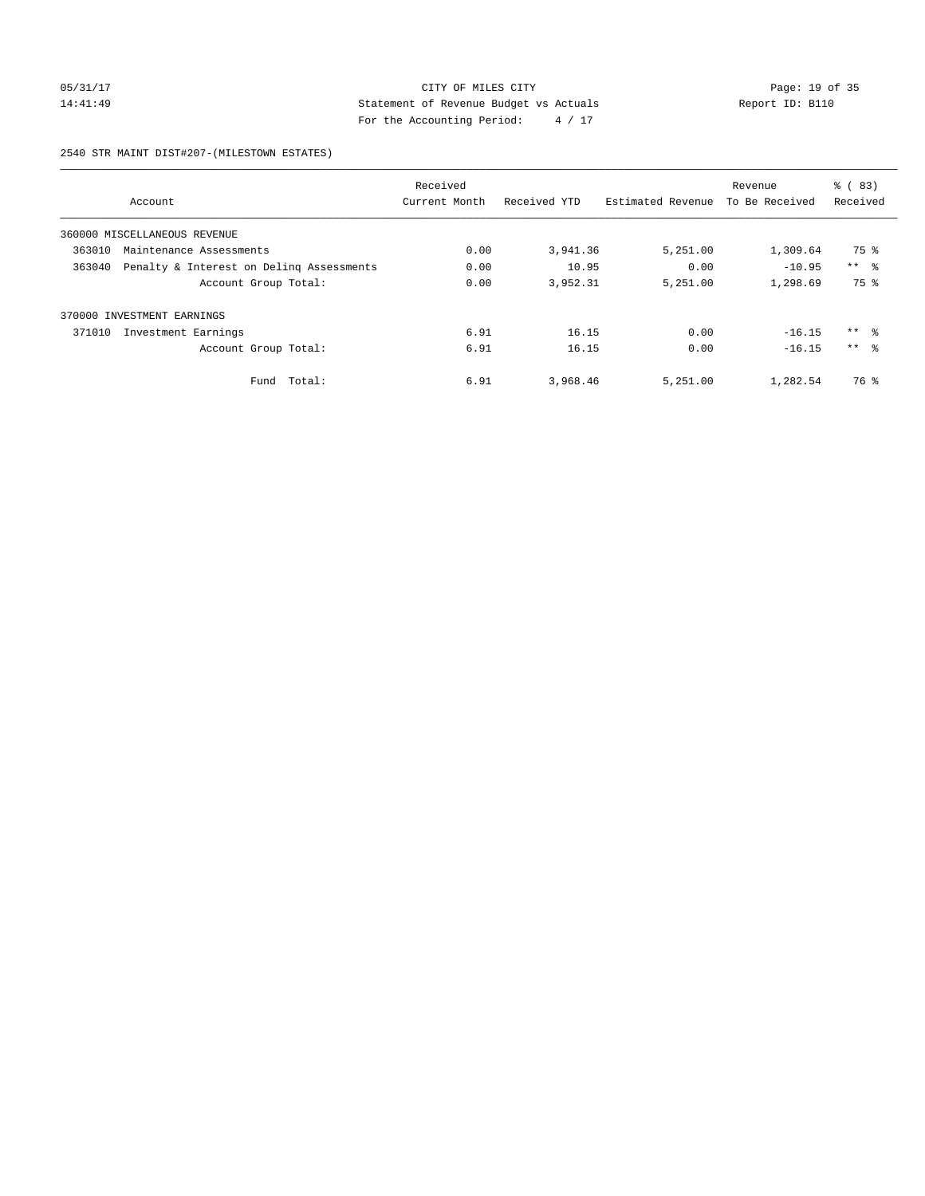## 05/31/17 Page: 19 of 35 14:41:49 Statement of Revenue Budget vs Actuals Report ID: B110 For the Accounting Period: 4 / 17

### 2540 STR MAINT DIST#207-(MILESTOWN ESTATES)

|        |                                          | Received      |              |                   | Revenue        | $\frac{6}{6}$ (83) |
|--------|------------------------------------------|---------------|--------------|-------------------|----------------|--------------------|
|        | Account                                  | Current Month | Received YTD | Estimated Revenue | To Be Received | Received           |
|        | 360000 MISCELLANEOUS REVENUE             |               |              |                   |                |                    |
| 363010 | Maintenance Assessments                  | 0.00          | 3,941.36     | 5,251.00          | 1,309.64       | 75 %               |
| 363040 | Penalty & Interest on Deling Assessments | 0.00          | 10.95        | 0.00              | $-10.95$       | $***$ $ -$         |
|        | Account Group Total:                     | 0.00          | 3,952.31     | 5,251.00          | 1,298.69       | 75 %               |
| 370000 | INVESTMENT EARNINGS                      |               |              |                   |                |                    |
| 371010 | Investment Earnings                      | 6.91          | 16.15        | 0.00              | $-16.15$       | $***$ $ -$         |
|        | Account Group Total:                     | 6.91          | 16.15        | 0.00              | $-16.15$       | $***$ $\approx$    |
|        | Total:<br>Fund                           | 6.91          | 3,968.46     | 5,251.00          | 1,282.54       | 76 %               |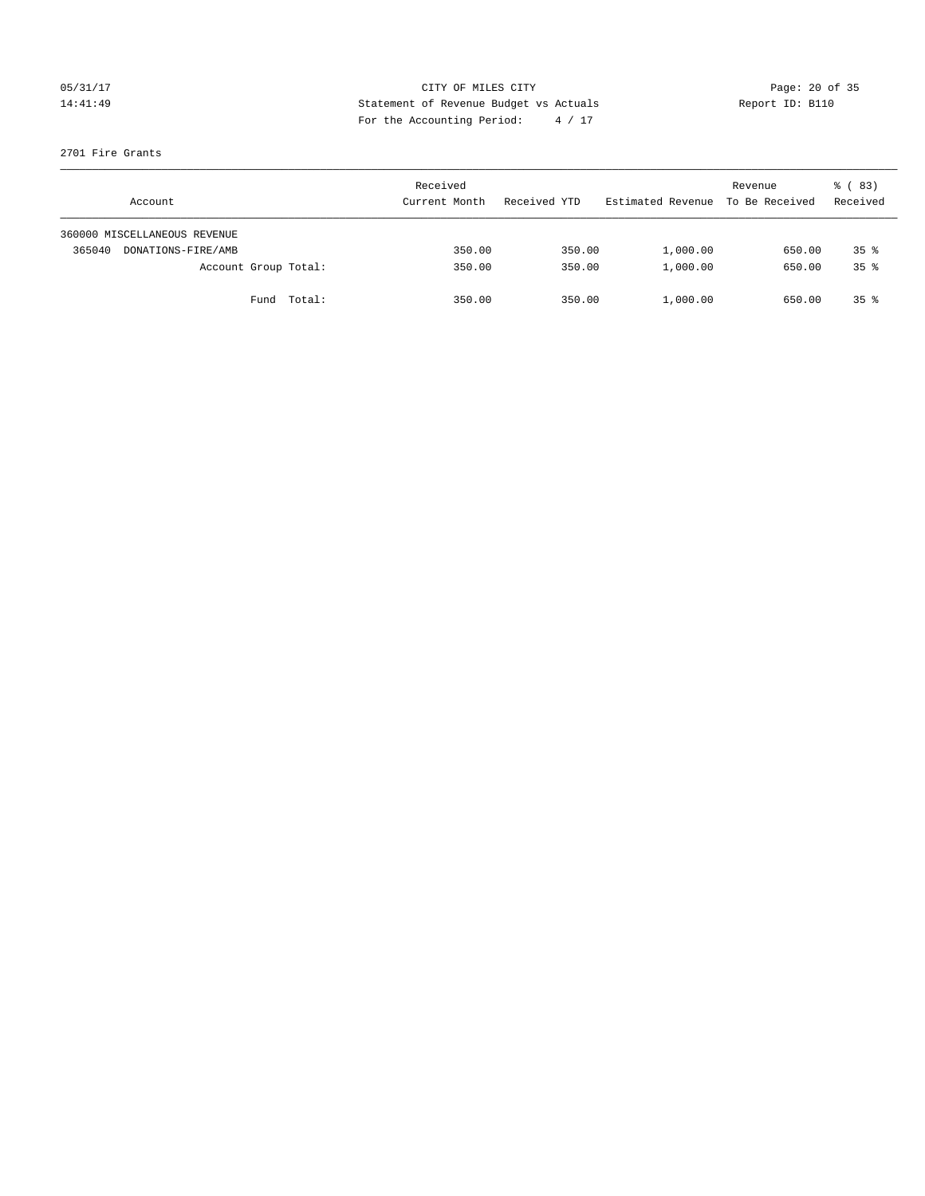## 05/31/17 Page: 20 of 35 14:41:49 Statement of Revenue Budget vs Actuals Report ID: B110 For the Accounting Period: 4 / 17

### 2701 Fire Grants

|        | Account                      |             | Received<br>Current Month | Received YTD | Estimated Revenue | Revenue<br>To Be Received | 8 (83)<br>Received |
|--------|------------------------------|-------------|---------------------------|--------------|-------------------|---------------------------|--------------------|
|        | 360000 MISCELLANEOUS REVENUE |             |                           |              |                   |                           |                    |
| 365040 | DONATIONS-FIRE/AMB           |             | 350.00                    | 350.00       | 1,000.00          | 650.00                    | $35*$              |
|        | Account Group Total:         |             | 350.00                    | 350.00       | 1,000.00          | 650.00                    | $35*$              |
|        |                              | Fund Total: | 350.00                    | 350.00       | 1,000.00          | 650.00                    | $35*$              |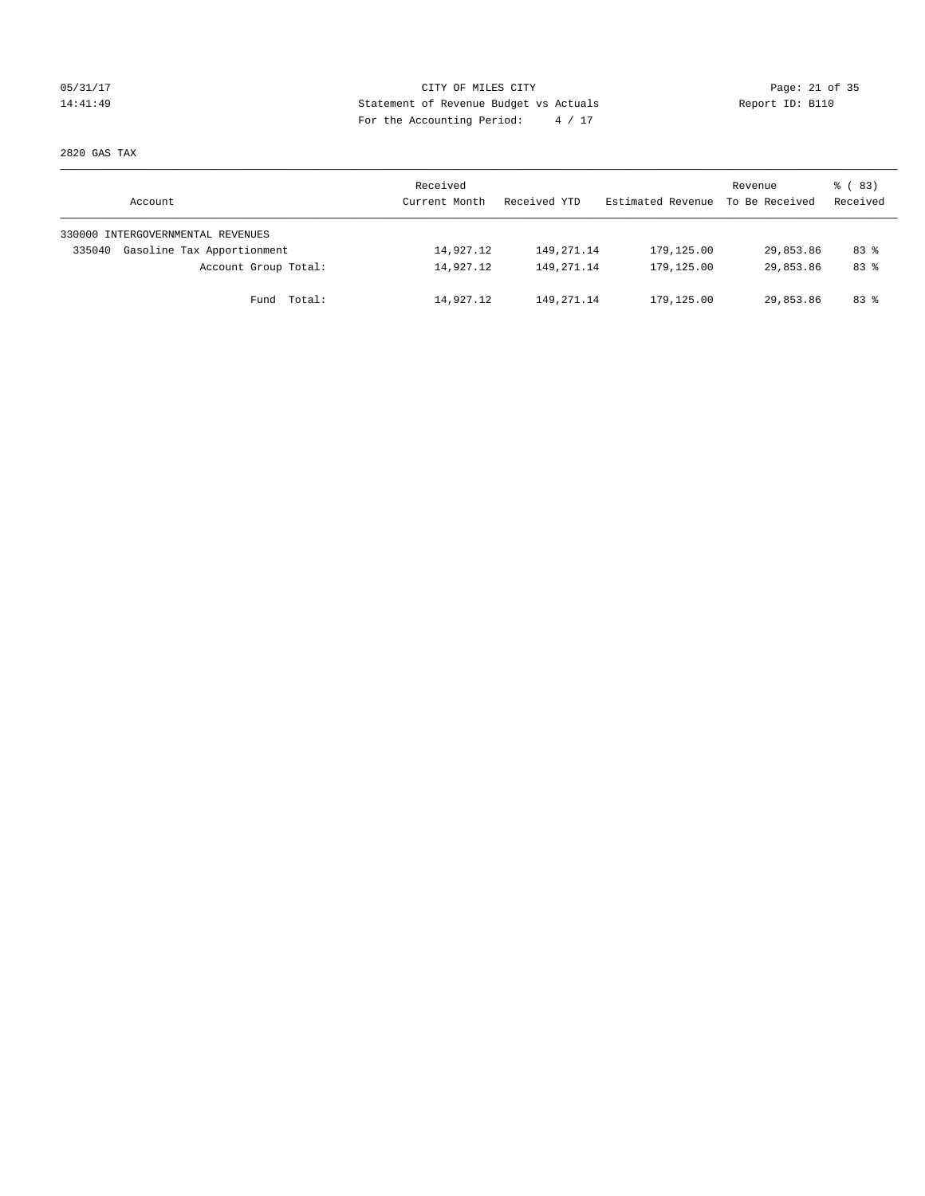## 05/31/17 Page: 21 of 35 14:41:49 Statement of Revenue Budget vs Actuals Report ID: B110 For the Accounting Period: 4 / 17

2820 GAS TAX

| Account                              | Received<br>Current Month | Received YTD | Estimated Revenue | Revenue<br>To Be Received | 8 (83)<br>Received |
|--------------------------------------|---------------------------|--------------|-------------------|---------------------------|--------------------|
| 330000 INTERGOVERNMENTAL REVENUES    |                           |              |                   |                           |                    |
| Gasoline Tax Apportionment<br>335040 | 14,927.12                 | 149, 271.14  | 179,125.00        | 29,853.86                 | $83*$              |
| Account Group Total:                 | 14,927.12                 | 149, 271, 14 | 179,125.00        | 29,853.86                 | $83*$              |
| Fund Total:                          | 14,927.12                 | 149, 271, 14 | 179,125.00        | 29,853.86                 | 83 %               |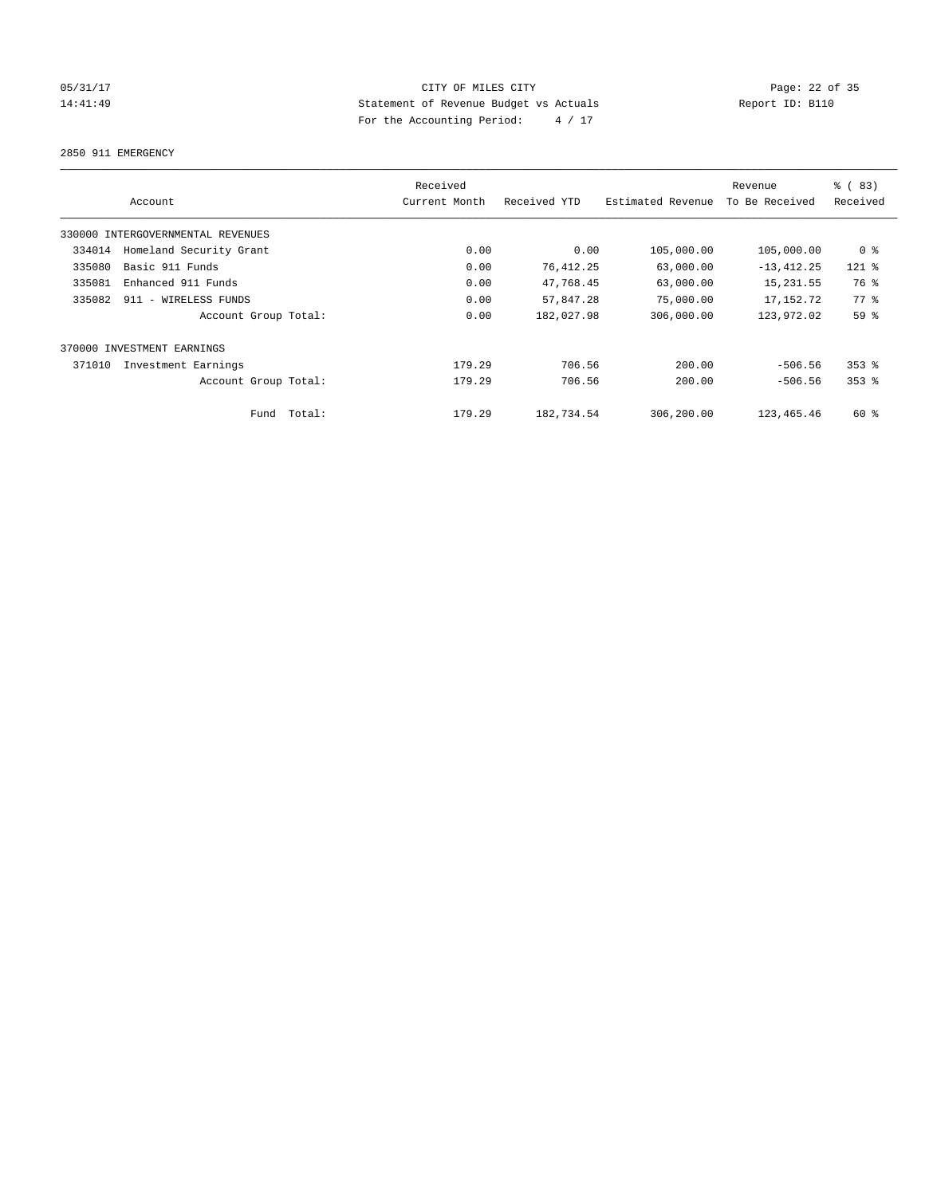## 05/31/17 Page: 22 of 35 14:41:49 Statement of Revenue Budget vs Actuals Report ID: B110 For the Accounting Period: 4 / 17

2850 911 EMERGENCY

| Account                           | Received<br>Current Month | Received YTD | Estimated Revenue | Revenue<br>To Be Received | % (83)<br>Received |
|-----------------------------------|---------------------------|--------------|-------------------|---------------------------|--------------------|
| 330000 INTERGOVERNMENTAL REVENUES |                           |              |                   |                           |                    |
| Homeland Security Grant<br>334014 | 0.00                      | 0.00         | 105,000.00        | 105,000.00                | 0 %                |
| Basic 911 Funds<br>335080         | 0.00                      | 76, 412.25   | 63,000.00         | $-13, 412.25$             | $121$ %            |
| 335081<br>Enhanced 911 Funds      | 0.00                      | 47,768.45    | 63,000.00         | 15, 231.55                | 76 %               |
| 335082<br>911 - WIRELESS FUNDS    | 0.00                      | 57,847.28    | 75,000.00         | 17, 152. 72               | 77.8               |
| Account Group Total:              | 0.00                      | 182,027.98   | 306,000.00        | 123,972.02                | 59 %               |
| 370000 INVESTMENT EARNINGS        |                           |              |                   |                           |                    |
| 371010<br>Investment Earnings     | 179.29                    | 706.56       | 200.00            | $-506.56$                 | $353$ $%$          |
| Account Group Total:              | 179.29                    | 706.56       | 200.00            | $-506.56$                 | $353$ $%$          |
| Fund Total:                       | 179.29                    | 182,734.54   | 306,200.00        | 123, 465. 46              | 60 %               |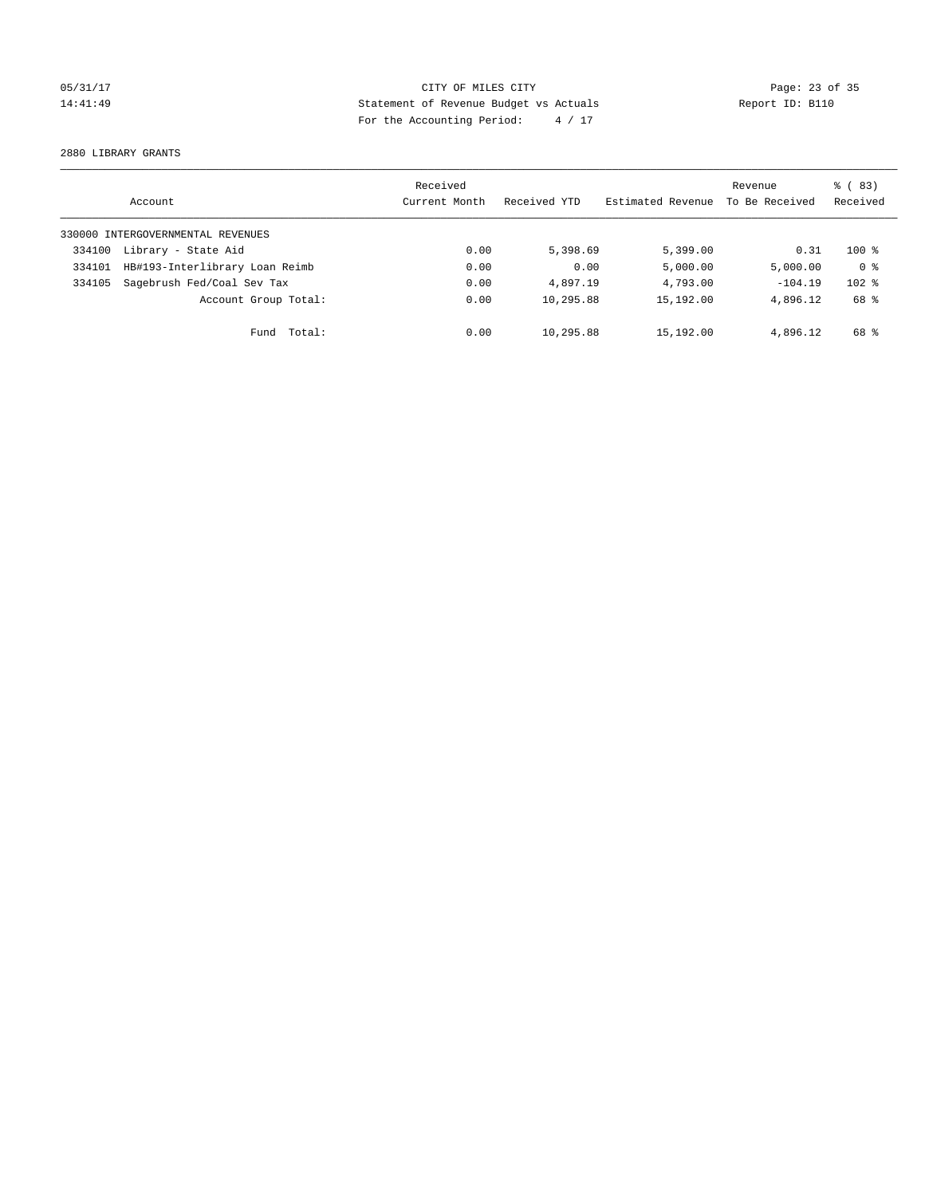## 05/31/17 Page: 23 of 35 14:41:49 Statement of Revenue Budget vs Actuals Report ID: B110 For the Accounting Period: 4 / 17

2880 LIBRARY GRANTS

|        | Account                           | Received<br>Current Month | Received YTD | Estimated Revenue | Revenue<br>To Be Received | $\frac{6}{6}$ (83)<br>Received |
|--------|-----------------------------------|---------------------------|--------------|-------------------|---------------------------|--------------------------------|
|        | 330000 INTERGOVERNMENTAL REVENUES |                           |              |                   |                           |                                |
| 334100 | Library - State Aid               | 0.00                      | 5,398.69     | 5,399.00          | 0.31                      | $100*$                         |
| 334101 | HB#193-Interlibrary Loan Reimb    | 0.00                      | 0.00         | 5,000.00          | 5,000.00                  | 0 <sup>8</sup>                 |
| 334105 | Sagebrush Fed/Coal Sev Tax        | 0.00                      | 4,897.19     | 4,793.00          | $-104.19$                 | $102$ %                        |
|        | Account Group Total:              | 0.00                      | 10,295.88    | 15,192.00         | 4,896.12                  | 68 %                           |
|        | Total:<br>Fund                    | 0.00                      | 10,295.88    | 15,192.00         | 4,896.12                  | 68 %                           |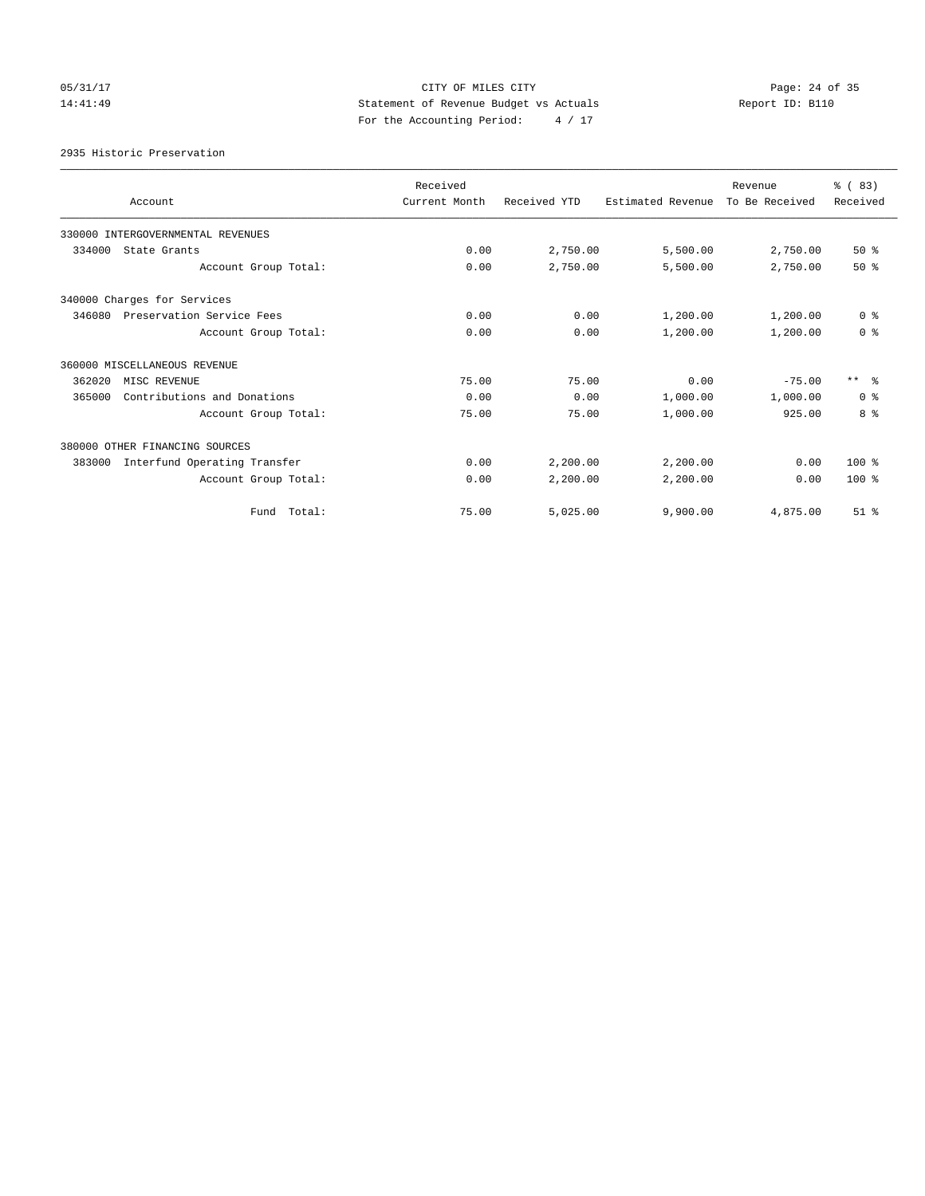# 05/31/17 Page: 24 of 35 14:41:49 Statement of Revenue Budget vs Actuals Report ID: B110 For the Accounting Period: 4 / 17

### 2935 Historic Preservation

| Account                                | Received<br>Current Month | Received YTD | Estimated Revenue | Revenue<br>To Be Received | % (83)<br>Received |
|----------------------------------------|---------------------------|--------------|-------------------|---------------------------|--------------------|
| 330000 INTERGOVERNMENTAL REVENUES      |                           |              |                   |                           |                    |
| 334000<br>State Grants                 | 0.00                      | 2,750.00     | 5,500.00          | 2,750.00                  | $50*$              |
| Account Group Total:                   | 0.00                      | 2,750.00     | 5,500.00          | 2,750.00                  | $50*$              |
| 340000 Charges for Services            |                           |              |                   |                           |                    |
| Preservation Service Fees<br>346080    | 0.00                      | 0.00         | 1,200.00          | 1,200.00                  | 0 <sup>8</sup>     |
| Account Group Total:                   | 0.00                      | 0.00         | 1,200.00          | 1,200.00                  | 0 <sup>8</sup>     |
| 360000 MISCELLANEOUS REVENUE           |                           |              |                   |                           |                    |
| 362020<br>MISC REVENUE                 | 75.00                     | 75.00        | 0.00              | $-75.00$                  | $***$ $\approx$    |
| 365000<br>Contributions and Donations  | 0.00                      | 0.00         | 1,000.00          | 1,000.00                  | 0 <sup>8</sup>     |
| Account Group Total:                   | 75.00                     | 75.00        | 1,000.00          | 925.00                    | 8 %                |
| 380000 OTHER FINANCING SOURCES         |                           |              |                   |                           |                    |
| Interfund Operating Transfer<br>383000 | 0.00                      | 2,200.00     | 2,200.00          | 0.00                      | $100*$             |
| Account Group Total:                   | 0.00                      | 2,200.00     | 2,200.00          | 0.00                      | 100%               |
| Fund Total:                            | 75.00                     | 5,025.00     | 9,900.00          | 4,875.00                  | $51$ $%$           |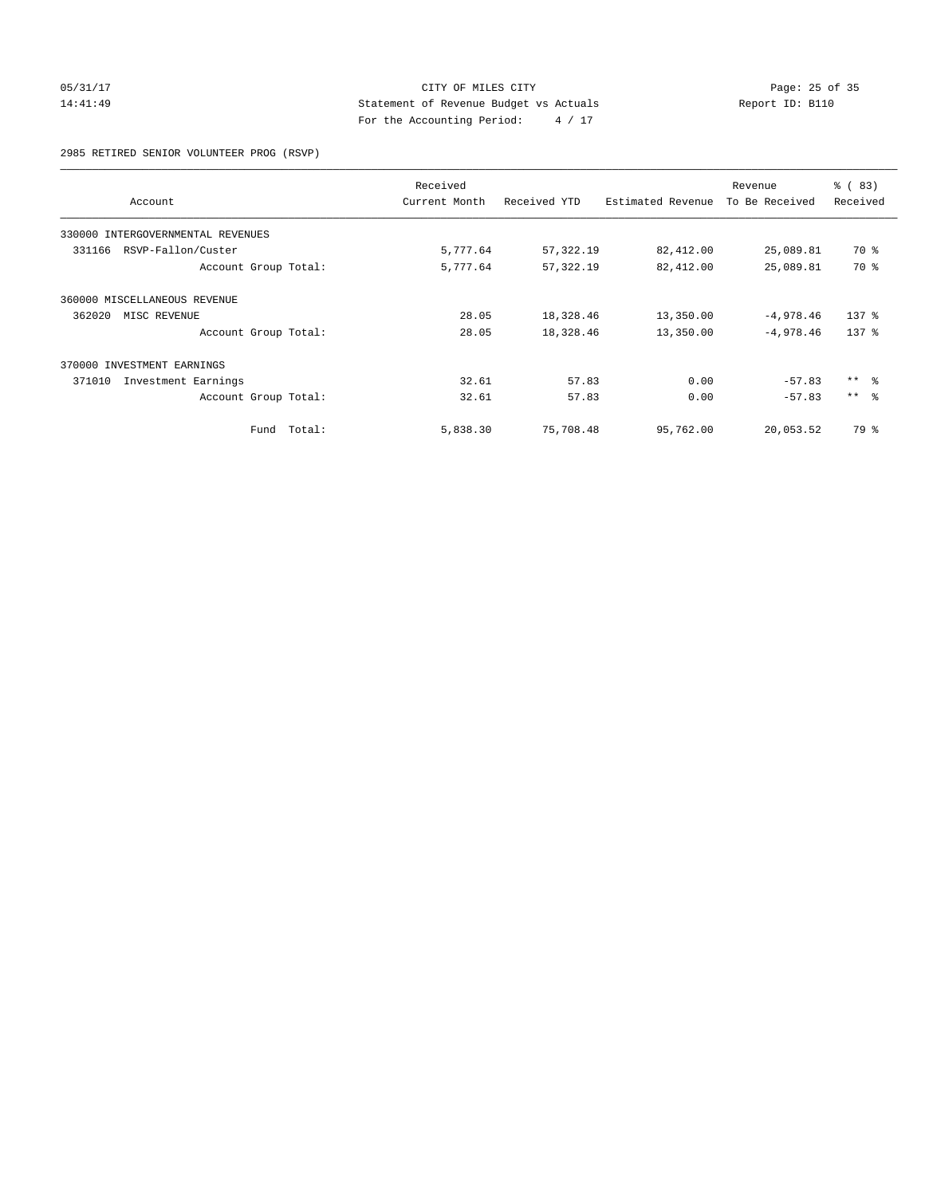## 05/31/17 Page: 25 of 35 14:41:49 Statement of Revenue Budget vs Actuals Report ID: B110 For the Accounting Period: 4 / 17

2985 RETIRED SENIOR VOLUNTEER PROG (RSVP)

|                                   |        | Received      |              |                   | Revenue        | % (83)           |
|-----------------------------------|--------|---------------|--------------|-------------------|----------------|------------------|
| Account                           |        | Current Month | Received YTD | Estimated Revenue | To Be Received | Received         |
| 330000 INTERGOVERNMENTAL REVENUES |        |               |              |                   |                |                  |
| RSVP-Fallon/Custer<br>331166      |        | 5,777.64      | 57,322.19    | 82,412.00         | 25,089.81      | 70 %             |
| Account Group Total:              |        | 5,777.64      | 57, 322.19   | 82,412.00         | 25,089.81      | 70 %             |
| 360000 MISCELLANEOUS REVENUE      |        |               |              |                   |                |                  |
| 362020<br>MISC REVENUE            |        | 28.05         | 18,328.46    | 13,350.00         | $-4,978.46$    | $137$ $%$        |
| Account Group Total:              |        | 28.05         | 18,328.46    | 13,350.00         | $-4,978.46$    | 137 <sub>8</sub> |
| 370000 INVESTMENT EARNINGS        |        |               |              |                   |                |                  |
| Investment Earnings<br>371010     |        | 32.61         | 57.83        | 0.00              | $-57.83$       | $***$ $ -$       |
| Account Group Total:              |        | 32.61         | 57.83        | 0.00              | $-57.83$       | $***$ $\approx$  |
| Fund                              | Total: | 5,838.30      | 75,708.48    | 95,762.00         | 20,053.52      | 79 %             |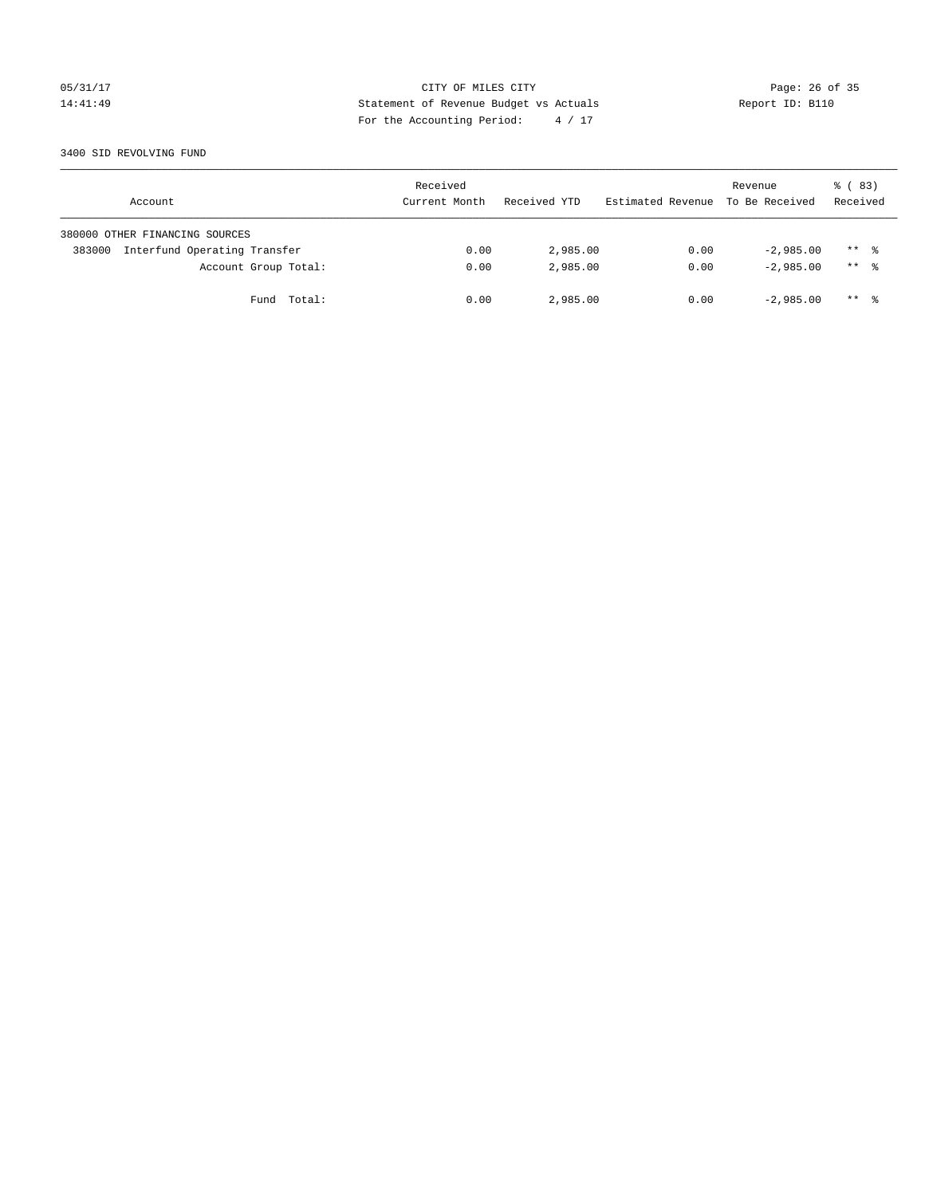## 05/31/17 Page: 26 of 35 14:41:49 Statement of Revenue Budget vs Actuals Report ID: B110 For the Accounting Period: 4 / 17

### 3400 SID REVOLVING FUND

| Account                                | Received<br>Current Month | Received YTD | Estimated Revenue | Revenue<br>To Be Received | 8 (83)<br>Received |
|----------------------------------------|---------------------------|--------------|-------------------|---------------------------|--------------------|
| 380000 OTHER FINANCING SOURCES         |                           |              |                   |                           |                    |
| Interfund Operating Transfer<br>383000 | 0.00                      | 2,985.00     | 0.00              | $-2.985.00$               | $***$ %            |
| Account Group Total:                   | 0.00                      | 2,985.00     | 0.00              | $-2.985.00$               | $***$ %            |
| Fund Total:                            | 0.00                      | 2,985.00     | 0.00              | $-2,985.00$               | $***$ %            |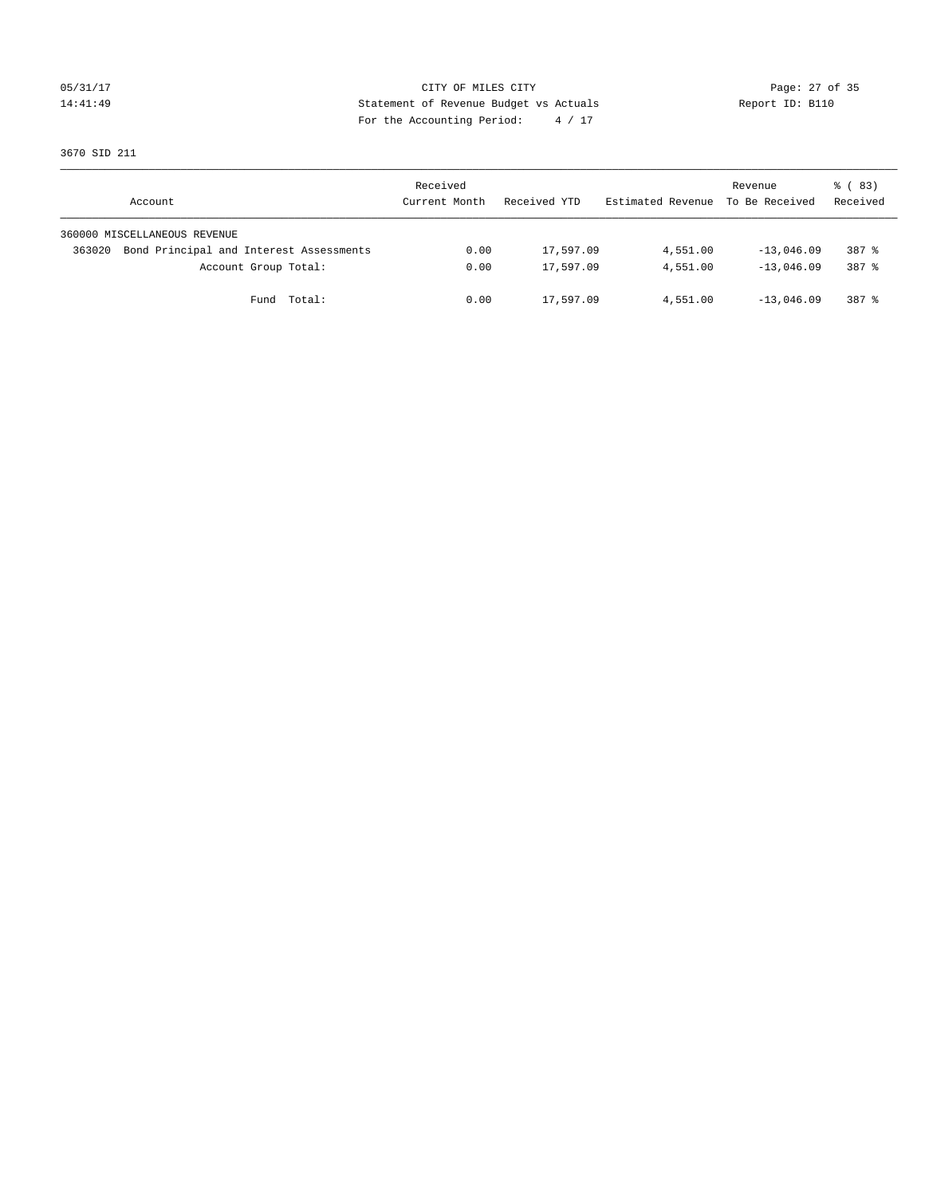## 05/31/17 Page: 27 of 35 14:41:49 Statement of Revenue Budget vs Actuals Report ID: B110 For the Accounting Period: 4 / 17

3670 SID 211

| Account                                           | Received<br>Current Month | Received YTD | Estimated Revenue To Be Received | Revenue      | 8 (83)<br>Received |
|---------------------------------------------------|---------------------------|--------------|----------------------------------|--------------|--------------------|
| 360000 MISCELLANEOUS REVENUE                      |                           |              |                                  |              |                    |
| Bond Principal and Interest Assessments<br>363020 | 0.00                      | 17,597.09    | 4,551.00                         | $-13,046.09$ | 387 %              |
| Account Group Total:                              | 0.00                      | 17,597.09    | 4,551.00                         | $-13.046.09$ | 387 %              |
| Fund Total:                                       | 0.00                      | 17,597.09    | 4,551.00                         | $-13,046.09$ | 387 %              |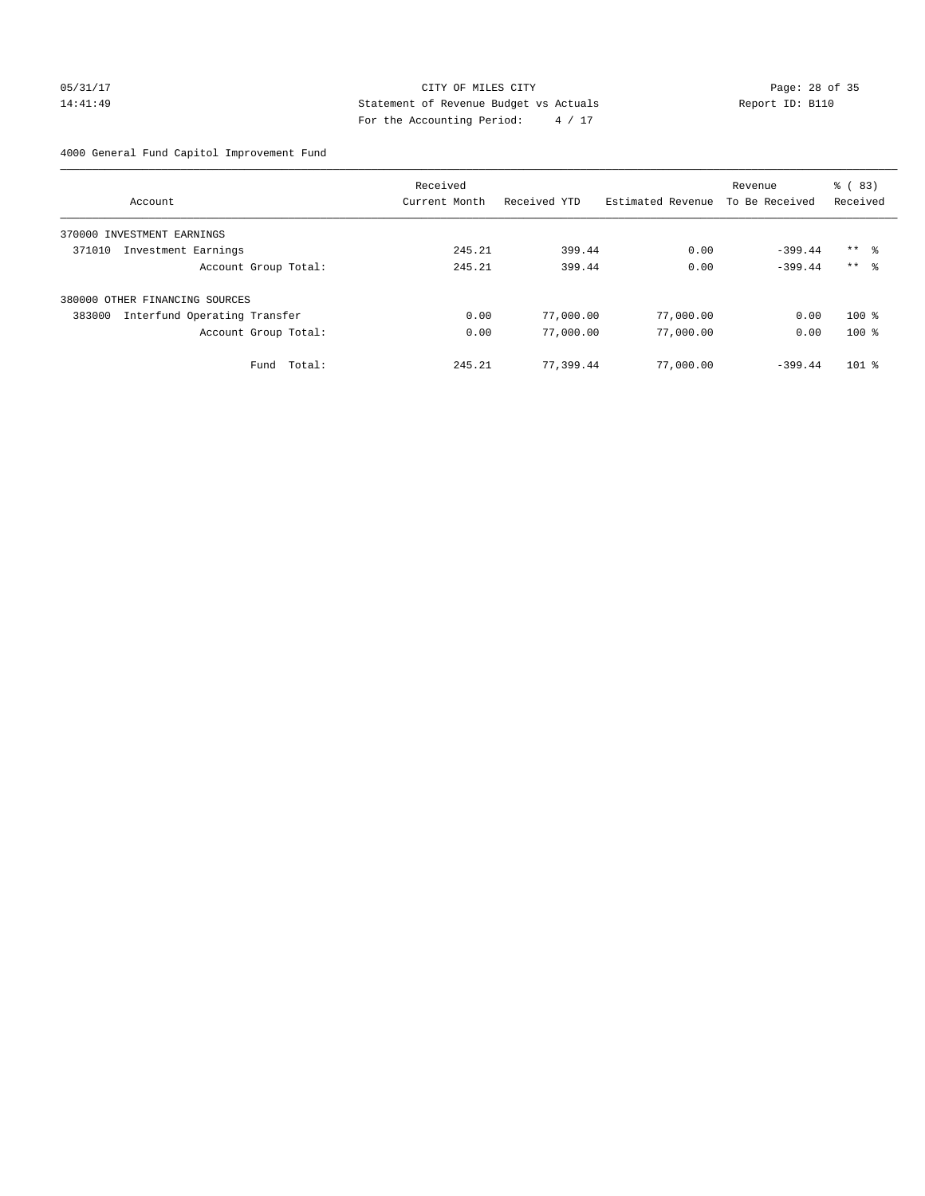## 05/31/17 Page: 28 of 35 14:41:49 Statement of Revenue Budget vs Actuals Report ID: B110 For the Accounting Period: 4 / 17

4000 General Fund Capitol Improvement Fund

|                                        | Received      |              |                   | Revenue        | % (83)              |
|----------------------------------------|---------------|--------------|-------------------|----------------|---------------------|
| Account                                | Current Month | Received YTD | Estimated Revenue | To Be Received | Received            |
| 370000 INVESTMENT EARNINGS             |               |              |                   |                |                     |
| 371010<br>Investment Earnings          | 245.21        | 399.44       | 0.00              | $-399.44$      | $***$ $\frac{6}{3}$ |
| Account Group Total:                   | 245.21        | 399.44       | 0.00              | $-399.44$      | $***$ $\approx$     |
| 380000 OTHER FINANCING SOURCES         |               |              |                   |                |                     |
| Interfund Operating Transfer<br>383000 | 0.00          | 77,000.00    | 77,000.00         | 0.00           | $100*$              |
| Account Group Total:                   | 0.00          | 77,000.00    | 77,000.00         | 0.00           | $100*$              |
| Total:<br>Fund                         | 245.21        | 77,399.44    | 77,000.00         | $-399.44$      | $101$ %             |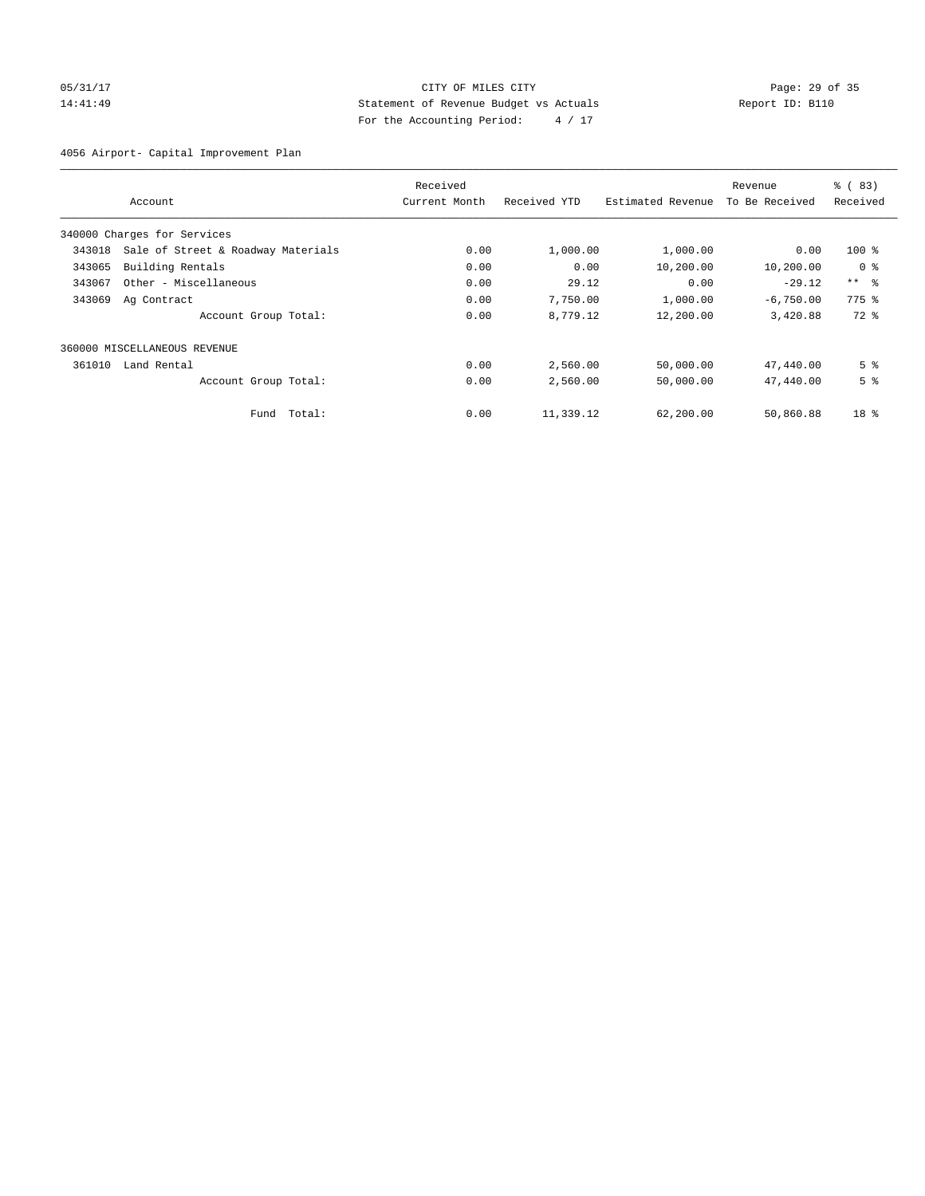# 05/31/17 Page: 29 of 35 14:41:49 Statement of Revenue Budget vs Actuals Report ID: B110 For the Accounting Period: 4 / 17

4056 Airport- Capital Improvement Plan

|        |                                    | Received      |              |                   | Revenue        | % (83)          |
|--------|------------------------------------|---------------|--------------|-------------------|----------------|-----------------|
|        | Account                            | Current Month | Received YTD | Estimated Revenue | To Be Received | Received        |
|        | 340000 Charges for Services        |               |              |                   |                |                 |
| 343018 | Sale of Street & Roadway Materials | 0.00          | 1,000.00     | 1,000.00          | 0.00           | $100$ %         |
| 343065 | Building Rentals                   | 0.00          | 0.00         | 10,200.00         | 10,200.00      | 0 <sup>8</sup>  |
| 343067 | Other - Miscellaneous              | 0.00          | 29.12        | 0.00              | $-29.12$       | $***$ $\approx$ |
| 343069 | Ag Contract                        | 0.00          | 7,750.00     | 1,000.00          | $-6,750.00$    | $775$ $%$       |
|        | Account Group Total:               | 0.00          | 8,779.12     | 12,200.00         | 3,420.88       | 72 %            |
|        | 360000 MISCELLANEOUS REVENUE       |               |              |                   |                |                 |
| 361010 | Land Rental                        | 0.00          | 2,560.00     | 50,000.00         | 47,440.00      | 5 <sup>8</sup>  |
|        | Account Group Total:               | 0.00          | 2,560.00     | 50,000.00         | 47,440.00      | 5 <sup>8</sup>  |
|        | Total:<br>Fund                     | 0.00          | 11,339.12    | 62,200.00         | 50,860.88      | 18 <sup>°</sup> |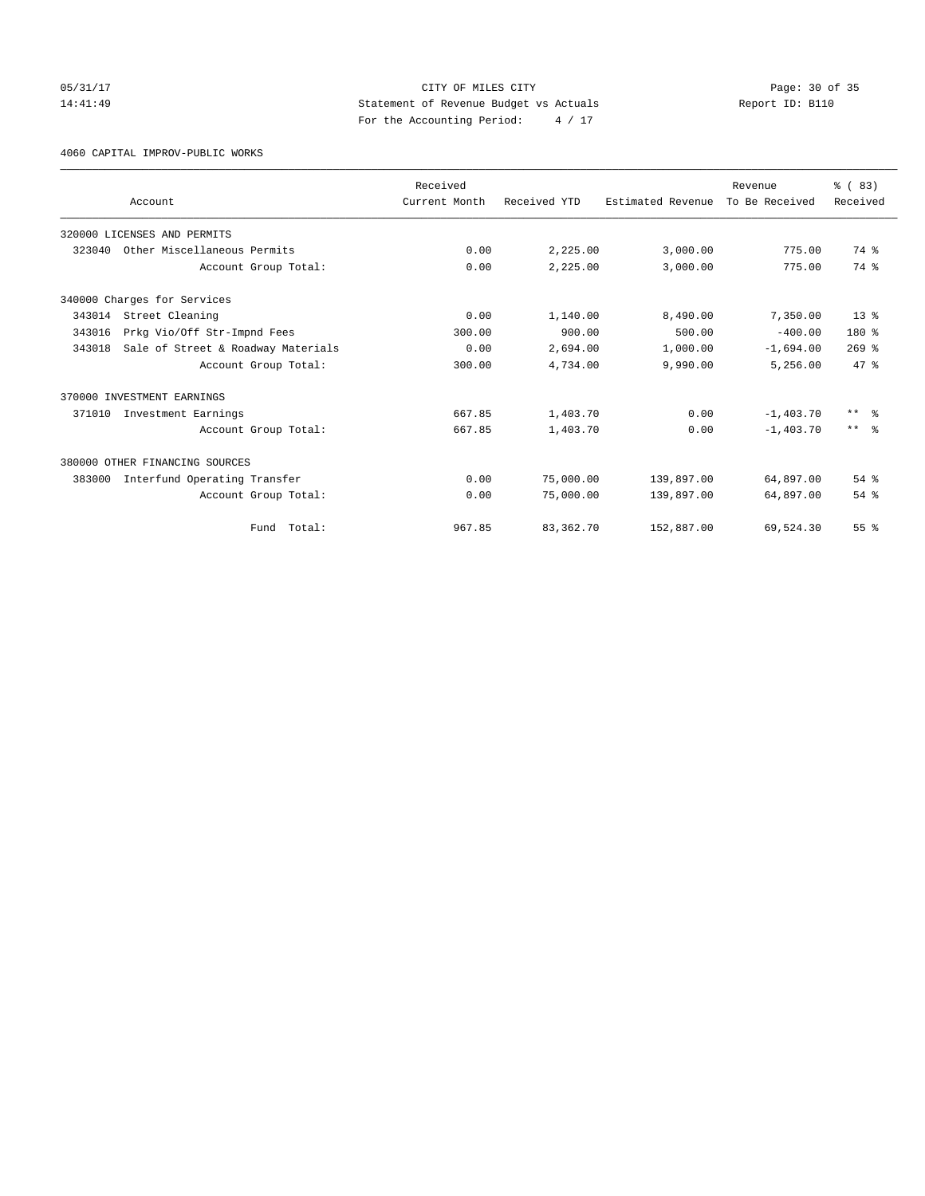05/31/17 Page: 30 of 35 14:41:49 Statement of Revenue Budget vs Actuals Report ID: B110 For the Accounting Period: 4 / 17

4060 CAPITAL IMPROV-PUBLIC WORKS

|        |                                    | Received      |              |                   | Revenue        | % (83)                  |
|--------|------------------------------------|---------------|--------------|-------------------|----------------|-------------------------|
|        | Account                            | Current Month | Received YTD | Estimated Revenue | To Be Received | Received                |
|        | 320000 LICENSES AND PERMITS        |               |              |                   |                |                         |
| 323040 | Other Miscellaneous Permits        | 0.00          | 2,225.00     | 3,000.00          | 775.00         | 74 %                    |
|        | Account Group Total:               | 0.00          | 2,225.00     | 3,000.00          | 775.00         | 74 %                    |
|        | 340000 Charges for Services        |               |              |                   |                |                         |
| 343014 | Street Cleaning                    | 0.00          | 1,140.00     | 8,490.00          | 7,350.00       | $13*$                   |
| 343016 | Prkg Vio/Off Str-Impnd Fees        | 300.00        | 900.00       | 500.00            | $-400.00$      | 180 %                   |
| 343018 | Sale of Street & Roadway Materials | 0.00          | 2,694.00     | 1,000.00          | $-1,694.00$    | $269$ $%$               |
|        | Account Group Total:               | 300.00        | 4,734.00     | 9,990.00          | 5,256.00       | 47.8                    |
|        | 370000 INVESTMENT EARNINGS         |               |              |                   |                |                         |
| 371010 | Investment Earnings                | 667.85        | 1,403.70     | 0.00              | $-1, 403.70$   | $***$ $=$ $\frac{6}{5}$ |
|        | Account Group Total:               | 667.85        | 1,403.70     | 0.00              | $-1.403.70$    | $***$ $\approx$         |
|        | 380000 OTHER FINANCING SOURCES     |               |              |                   |                |                         |
| 383000 | Interfund Operating Transfer       | 0.00          | 75,000.00    | 139,897.00        | 64,897.00      | 54 %                    |
|        | Account Group Total:               | 0.00          | 75,000.00    | 139,897.00        | 64,897.00      | 54 %                    |
|        | Total:<br>Fund                     | 967.85        | 83, 362. 70  | 152,887.00        | 69,524.30      | 55%                     |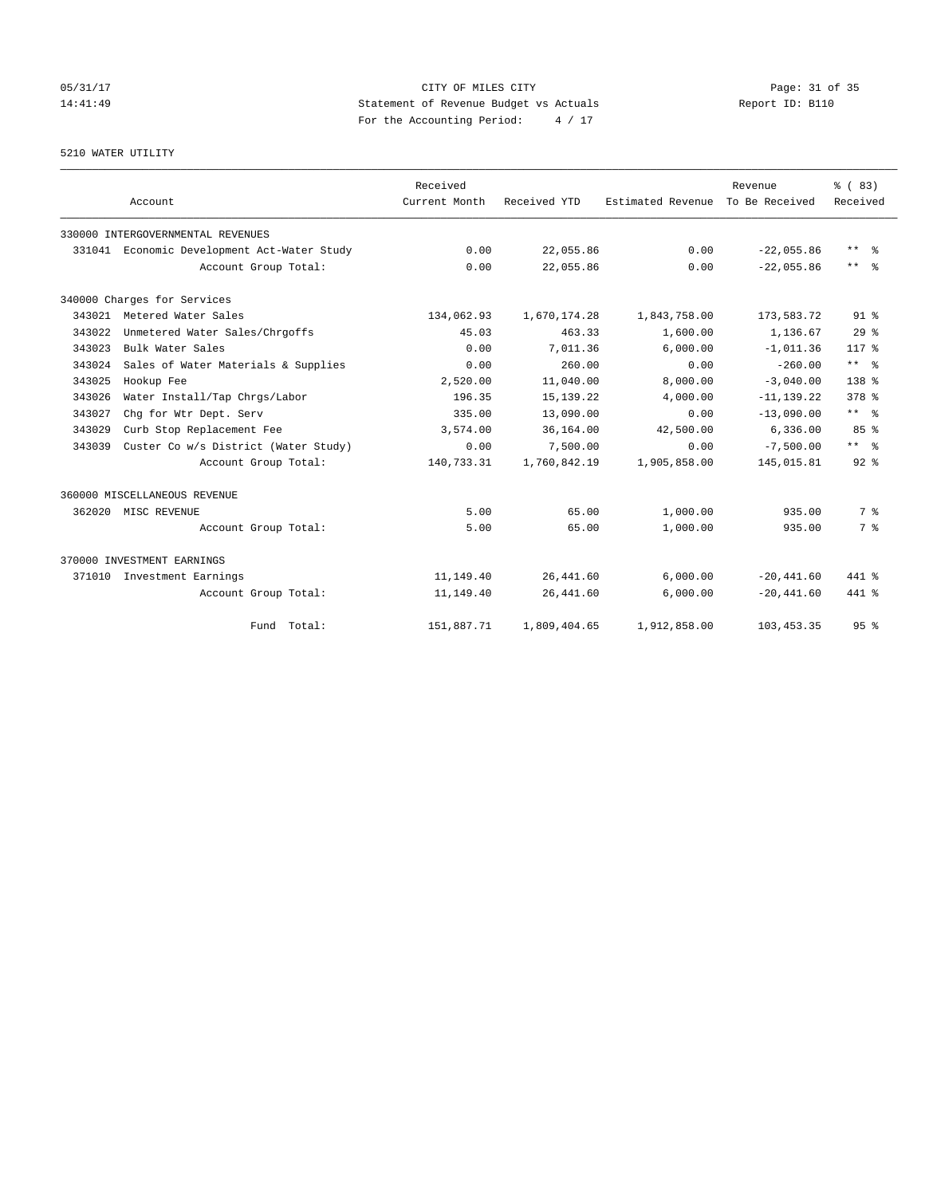# 05/31/17 Page: 31 of 35 14:41:49 Statement of Revenue Budget vs Actuals Report ID: B110 For the Accounting Period: 4 / 17

5210 WATER UTILITY

|        | Account                              | Received<br>Current Month | Received YTD | Estimated Revenue | Revenue<br>To Be Received | % (83)<br>Received  |
|--------|--------------------------------------|---------------------------|--------------|-------------------|---------------------------|---------------------|
|        |                                      |                           |              |                   |                           |                     |
|        | 330000 INTERGOVERNMENTAL REVENUES    |                           |              |                   |                           |                     |
| 331041 | Economic Development Act-Water Study | 0.00                      | 22,055.86    | 0.00              | $-22.055.86$              | $***$ $=$           |
|        | Account Group Total:                 | 0.00                      | 22,055.86    | 0.00              | $-22.055.86$              | $***$ $ -$          |
|        | 340000 Charges for Services          |                           |              |                   |                           |                     |
| 343021 | Metered Water Sales                  | 134,062.93                | 1,670,174.28 | 1,843,758.00      | 173,583.72                | 91 <sup>°</sup>     |
| 343022 | Unmetered Water Sales/Chrgoffs       | 45.03                     | 463.33       | 1,600.00          | 1,136.67                  | 29 <sup>8</sup>     |
| 343023 | Bulk Water Sales                     | 0.00                      | 7,011.36     | 6,000.00          | $-1,011.36$               | $117*$              |
| 343024 | Sales of Water Materials & Supplies  | 0.00                      | 260.00       | 0.00              | $-260.00$                 | $***$ $ -$          |
| 343025 | Hookup Fee                           | 2,520.00                  | 11,040.00    | 8,000.00          | $-3.040.00$               | $138*$              |
| 343026 | Water Install/Tap Chrgs/Labor        | 196.35                    | 15, 139. 22  | 4,000.00          | $-11, 139.22$             | $378$ $%$           |
| 343027 | Chq for Wtr Dept. Serv               | 335.00                    | 13,090.00    | 0.00              | $-13,090,00$              | ** %                |
| 343029 | Curb Stop Replacement Fee            | 3,574.00                  | 36,164.00    | 42,500.00         | 6,336.00                  | 85%                 |
| 343039 | Custer Co w/s District (Water Study) | 0.00                      | 7,500.00     | 0.00              | $-7.500.00$               | $***$ $\frac{6}{5}$ |
|        | Account Group Total:                 | 140,733.31                | 1,760,842.19 | 1,905,858.00      | 145,015.81                | $92$ $%$            |
|        | 360000 MISCELLANEOUS REVENUE         |                           |              |                   |                           |                     |
|        | 362020 MISC REVENUE                  | 5.00                      | 65.00        | 1,000.00          | 935.00                    | 7 %                 |
|        | Account Group Total:                 | 5.00                      | 65.00        | 1,000.00          | 935.00                    | 7 %                 |
|        | 370000 INVESTMENT EARNINGS           |                           |              |                   |                           |                     |
| 371010 | Investment Earnings                  | 11,149.40                 | 26, 441.60   | 6,000.00          | $-20, 441.60$             | 441 %               |
|        | Account Group Total:                 | 11,149.40                 | 26, 441.60   | 6,000.00          | $-20, 441.60$             | 441 %               |
|        | Fund Total:                          | 151,887.71                | 1,809,404.65 | 1,912,858.00      | 103, 453.35               | 95 <sup>8</sup>     |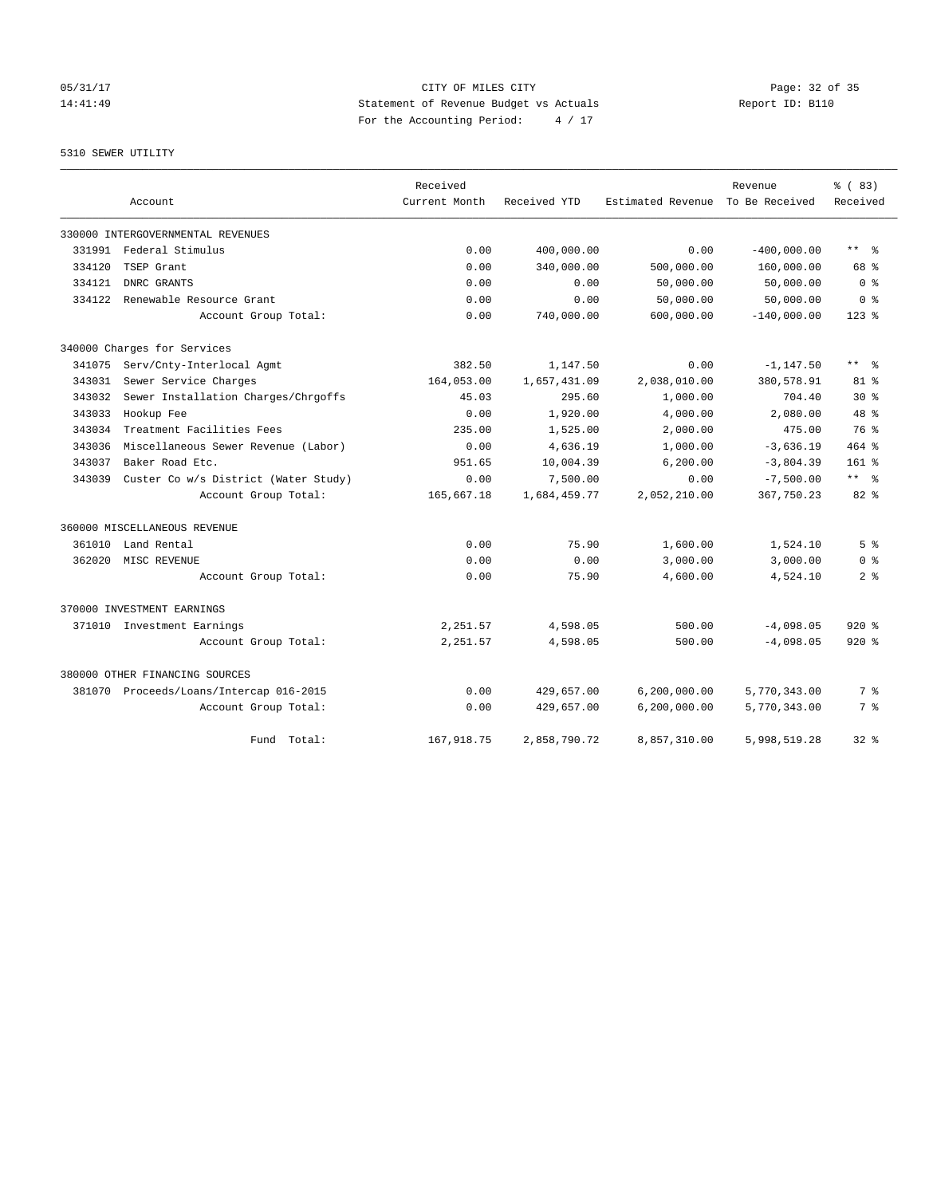# 05/31/17 Page: 32 of 35 14:41:49 Statement of Revenue Budget vs Actuals Report ID: B110 For the Accounting Period: 4 / 17

## 5310 SEWER UTILITY

|        |                                         | Received      |              |                   | Revenue        | % (83)                    |
|--------|-----------------------------------------|---------------|--------------|-------------------|----------------|---------------------------|
|        | Account                                 | Current Month | Received YTD | Estimated Revenue | To Be Received | Received                  |
|        | 330000 INTERGOVERNMENTAL REVENUES       |               |              |                   |                |                           |
|        | 331991 Federal Stimulus                 | 0.00          | 400,000.00   | 0.00              | $-400,000.00$  | $\star\star$<br>$\approx$ |
| 334120 | TSEP Grant                              | 0.00          | 340,000.00   | 500,000.00        | 160,000.00     | 68 %                      |
| 334121 | DNRC GRANTS                             | 0.00          | 0.00         | 50,000.00         | 50,000.00      | 0 <sup>8</sup>            |
| 334122 | Renewable Resource Grant                | 0.00          | 0.00         | 50,000.00         | 50,000.00      | 0 <sup>8</sup>            |
|        | Account Group Total:                    | 0.00          | 740,000.00   | 600,000.00        | $-140,000.00$  | $123$ %                   |
|        | 340000 Charges for Services             |               |              |                   |                |                           |
| 341075 | Serv/Cnty-Interlocal Agmt               | 382.50        | 1,147.50     | 0.00              | $-1, 147.50$   | ** *                      |
| 343031 | Sewer Service Charges                   | 164,053.00    | 1,657,431.09 | 2,038,010.00      | 380,578.91     | 81 %                      |
| 343032 | Sewer Installation Charges/Chrgoffs     | 45.03         | 295.60       | 1,000.00          | 704.40         | $30*$                     |
| 343033 | Hookup Fee                              | 0.00          | 1,920.00     | 4,000.00          | 2,080.00       | 48 %                      |
| 343034 | Treatment Facilities Fees               | 235.00        | 1,525.00     | 2,000.00          | 475.00         | 76 %                      |
| 343036 | Miscellaneous Sewer Revenue (Labor)     | 0.00          | 4,636.19     | 1,000.00          | $-3,636.19$    | 464 %                     |
| 343037 | Baker Road Etc.                         | 951.65        | 10,004.39    | 6, 200.00         | $-3,804.39$    | $161$ %                   |
| 343039 | Custer Co w/s District (Water Study)    | 0.00          | 7,500.00     | 0.00              | $-7,500.00$    | $***$ $ -$                |
|        | Account Group Total:                    | 165,667.18    | 1,684,459.77 | 2,052,210.00      | 367,750.23     | $82*$                     |
|        | 360000 MISCELLANEOUS REVENUE            |               |              |                   |                |                           |
| 361010 | Land Rental                             | 0.00          | 75.90        | 1,600.00          | 1,524.10       | 5 <sup>8</sup>            |
| 362020 | MISC REVENUE                            | 0.00          | 0.00         | 3,000.00          | 3,000.00       | 0 <sup>8</sup>            |
|        | Account Group Total:                    | 0.00          | 75.90        | 4,600.00          | 4,524.10       | 2 <sup>8</sup>            |
|        | 370000 INVESTMENT EARNINGS              |               |              |                   |                |                           |
|        | 371010 Investment Earnings              | 2,251.57      | 4,598.05     | 500.00            | $-4,098.05$    | $920*$                    |
|        | Account Group Total:                    | 2,251.57      | 4,598.05     | 500.00            | $-4,098.05$    | $920*$                    |
|        | 380000 OTHER FINANCING SOURCES          |               |              |                   |                |                           |
|        | 381070 Proceeds/Loans/Intercap 016-2015 | 0.00          | 429,657.00   | 6, 200, 000.00    | 5,770,343.00   | 7 %                       |
|        | Account Group Total:                    | 0.00          | 429,657.00   | 6, 200, 000.00    | 5,770,343.00   | 7 %                       |
|        | Total:<br>Fund                          | 167,918.75    | 2,858,790.72 | 8,857,310.00      | 5,998,519.28   | $32*$                     |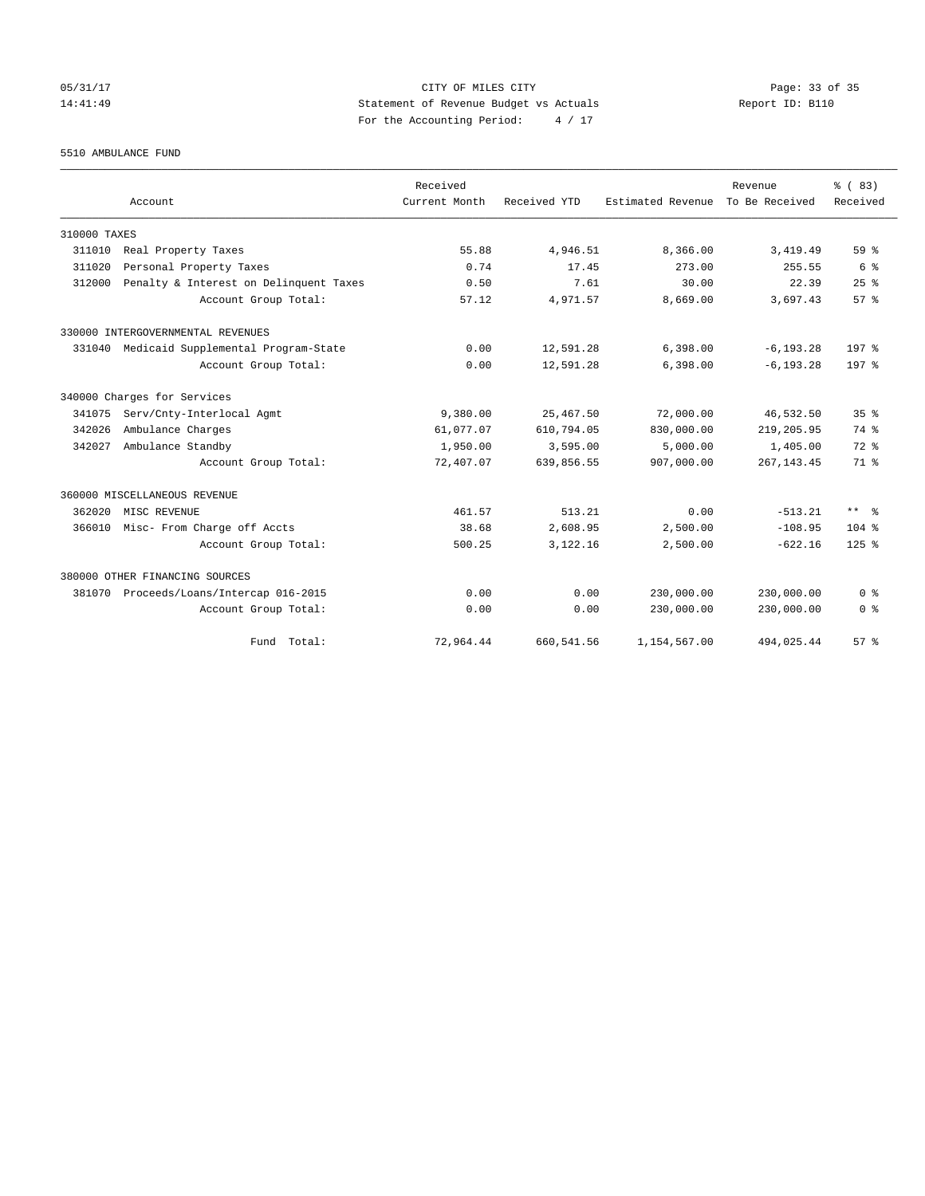## 05/31/17 Page: 33 of 35 14:41:49 Statement of Revenue Budget vs Actuals Report ID: B110 For the Accounting Period: 4 / 17

5510 AMBULANCE FUND

|              |                                            | Received      |              |                   | Revenue        | % (83)           |
|--------------|--------------------------------------------|---------------|--------------|-------------------|----------------|------------------|
|              | Account                                    | Current Month | Received YTD | Estimated Revenue | To Be Received | Received         |
| 310000 TAXES |                                            |               |              |                   |                |                  |
| 311010       | Real Property Taxes                        | 55.88         | 4,946.51     | 8,366.00          | 3,419.49       | $59*$            |
| 311020       | Personal Property Taxes                    | 0.74          | 17.45        | 273.00            | 255.55         | 6 %              |
| 312000       | Penalty & Interest on Delinquent Taxes     | 0.50          | 7.61         | 30.00             | 22.39          | 25%              |
|              | Account Group Total:                       | 57.12         | 4,971.57     | 8,669.00          | 3,697.43       | 57%              |
|              | 330000 INTERGOVERNMENTAL REVENUES          |               |              |                   |                |                  |
|              | 331040 Medicaid Supplemental Program-State | 0.00          | 12,591.28    | 6,398.00          | $-6, 193.28$   | 197 <sub>8</sub> |
|              | Account Group Total:                       | 0.00          | 12,591.28    | 6,398.00          | $-6, 193.28$   | 197 <sub>8</sub> |
|              | 340000 Charges for Services                |               |              |                   |                |                  |
| 341075       | Serv/Cnty-Interlocal Agmt                  | 9,380.00      | 25, 467.50   | 72,000.00         | 46,532.50      | 35 <sup>8</sup>  |
| 342026       | Ambulance Charges                          | 61,077.07     | 610,794.05   | 830,000.00        | 219,205.95     | 74 %             |
| 342027       | Ambulance Standby                          | 1,950.00      | 3,595.00     | 5.000.00          | 1,405.00       | $72$ $%$         |
|              | Account Group Total:                       | 72,407.07     | 639,856.55   | 907,000.00        | 267, 143.45    | 71.8             |
|              | 360000 MISCELLANEOUS REVENUE               |               |              |                   |                |                  |
| 362020       | MISC REVENUE                               | 461.57        | 513.21       | 0.00              | $-513.21$      | $***$ $ -$       |
| 366010       | Misc- From Charge off Accts                | 38.68         | 2,608.95     | 2,500.00          | $-108.95$      | $104$ %          |
|              | Account Group Total:                       | 500.25        | 3,122.16     | 2,500.00          | $-622.16$      | $125$ $%$        |
|              | 380000 OTHER FINANCING SOURCES             |               |              |                   |                |                  |
| 381070       | Proceeds/Loans/Intercap 016-2015           | 0.00          | 0.00         | 230,000.00        | 230,000.00     | 0 <sup>8</sup>   |
|              | Account Group Total:                       | 0.00          | 0.00         | 230,000.00        | 230,000.00     | 0 <sup>8</sup>   |
|              | Fund Total:                                | 72,964.44     | 660, 541.56  | 1,154,567.00      | 494,025.44     | 57%              |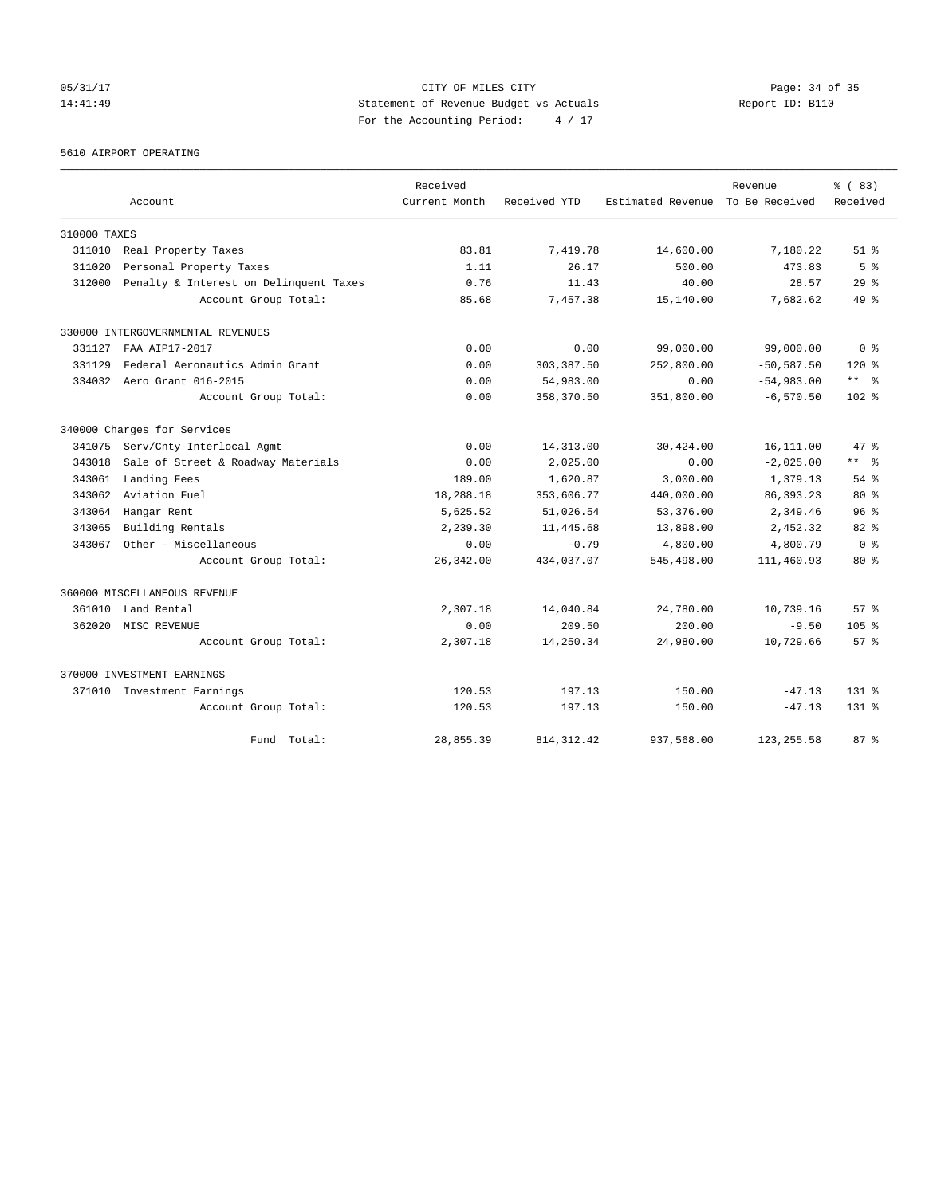05/31/17 Page: 34 of 35 14:41:49 Statement of Revenue Budget vs Actuals Report ID: B110 For the Accounting Period: 4 / 17

5610 AIRPORT OPERATING

|              |                                        | Received      |              |                   | Revenue        | % (83)                  |
|--------------|----------------------------------------|---------------|--------------|-------------------|----------------|-------------------------|
|              | Account                                | Current Month | Received YTD | Estimated Revenue | To Be Received | Received                |
| 310000 TAXES |                                        |               |              |                   |                |                         |
| 311010       | Real Property Taxes                    | 83.81         | 7,419.78     | 14,600.00         | 7,180.22       | $51$ %                  |
| 311020       | Personal Property Taxes                | 1.11          | 26.17        | 500.00            | 473.83         | 5 <sup>8</sup>          |
| 312000       | Penalty & Interest on Delinquent Taxes | 0.76          | 11.43        | 40.00             | 28.57          | 29 <sup>8</sup>         |
|              | Account Group Total:                   | 85.68         | 7,457.38     | 15,140.00         | 7,682.62       | $49*$                   |
|              | 330000 INTERGOVERNMENTAL REVENUES      |               |              |                   |                |                         |
| 331127       | FAA AIP17-2017                         | 0.00          | 0.00         | 99,000.00         | 99,000.00      | 0 <sup>8</sup>          |
| 331129       | Federal Aeronautics Admin Grant        | 0.00          | 303, 387.50  | 252,800.00        | $-50, 587.50$  | $120*$                  |
| 334032       | Aero Grant 016-2015                    | 0.00          | 54,983.00    | 0.00              | $-54,983.00$   | $***$ $-$               |
|              | Account Group Total:                   | 0.00          | 358,370.50   | 351,800.00        | $-6, 570.50$   | $102*$                  |
|              | 340000 Charges for Services            |               |              |                   |                |                         |
| 341075       | Serv/Cnty-Interlocal Agmt              | 0.00          | 14,313.00    | 30,424.00         | 16,111.00      | 47 %                    |
| 343018       | Sale of Street & Roadway Materials     | 0.00          | 2,025.00     | 0.00              | $-2,025.00$    | $***$ $=$ $\frac{6}{5}$ |
| 343061       | Landing Fees                           | 189.00        | 1,620.87     | 3,000.00          | 1,379.13       | $54$ $%$                |
| 343062       | Aviation Fuel                          | 18,288.18     | 353,606.77   | 440,000.00        | 86, 393. 23    | $80*$                   |
| 343064       | Hangar Rent                            | 5,625.52      | 51,026.54    | 53,376.00         | 2,349.46       | 96 <sup>8</sup>         |
| 343065       | Building Rentals                       | 2,239.30      | 11,445.68    | 13,898.00         | 2,452.32       | $82*$                   |
| 343067       | Other - Miscellaneous                  | 0.00          | $-0.79$      | 4,800.00          | 4,800.79       | 0 <sup>8</sup>          |
|              | Account Group Total:                   | 26,342.00     | 434,037.07   | 545,498.00        | 111,460.93     | $80*$                   |
|              | 360000 MISCELLANEOUS REVENUE           |               |              |                   |                |                         |
| 361010       | Land Rental                            | 2,307.18      | 14,040.84    | 24,780.00         | 10,739.16      | 57 <sup>8</sup>         |
| 362020       | MISC REVENUE                           | 0.00          | 209.50       | 200.00            | $-9.50$        | 105 <sub>8</sub>        |
|              | Account Group Total:                   | 2,307.18      | 14,250.34    | 24,980.00         | 10,729.66      | 57%                     |
|              | 370000 INVESTMENT EARNINGS             |               |              |                   |                |                         |
|              | 371010 Investment Earnings             | 120.53        | 197.13       | 150.00            | $-47.13$       | $131*$                  |
|              | Account Group Total:                   | 120.53        | 197.13       | 150.00            | $-47.13$       | $131*$                  |
|              | Total:<br>Fund                         | 28,855.39     | 814, 312.42  | 937,568.00        | 123, 255.58    | 87%                     |